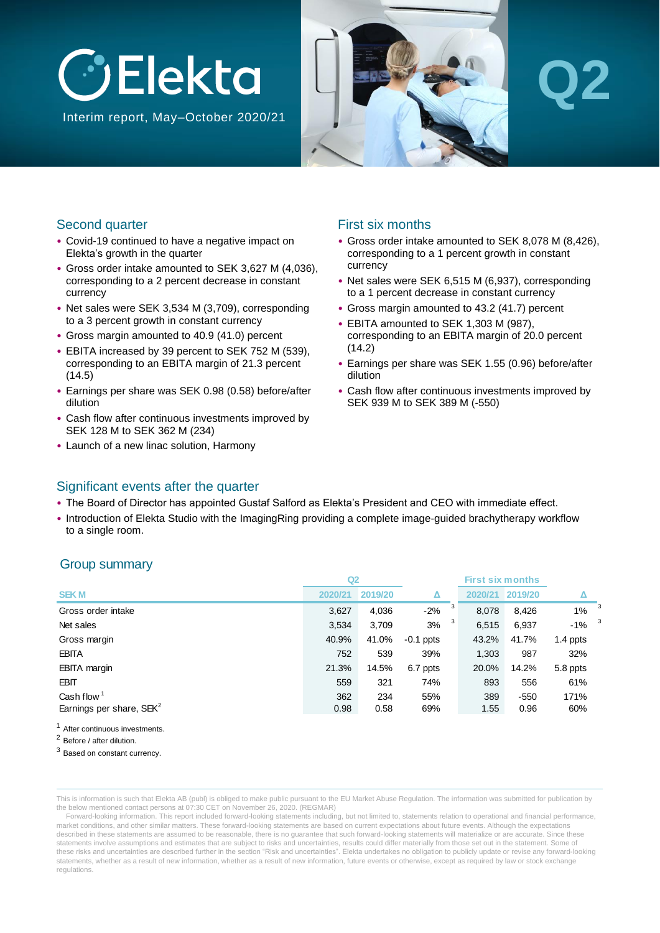

Interim report, May–October 2020/21



# **Q2**

### Second quarter

- Covid-19 continued to have a negative impact on Elekta's growth in the quarter
- Gross order intake amounted to SEK 3,627 M (4,036), corresponding to a 2 percent decrease in constant currency
- Net sales were SEK 3,534 M (3,709), corresponding to a 3 percent growth in constant currency
- Gross margin amounted to 40.9 (41.0) percent
- EBITA increased by 39 percent to SEK 752 M (539), corresponding to an EBITA margin of 21.3 percent (14.5)
- Earnings per share was SEK 0.98 (0.58) before/after dilution
- Cash flow after continuous investments improved by SEK 128 M to SEK 362 M (234)
- Launch of a new linac solution, Harmony

### First six months

- Gross order intake amounted to SEK 8,078 M (8,426), corresponding to a 1 percent growth in constant currency
- Net sales were SEK 6,515 M (6,937), corresponding to a 1 percent decrease in constant currency
- Gross margin amounted to 43.2 (41.7) percent
- EBITA amounted to SEK 1,303 M (987), corresponding to an EBITA margin of 20.0 percent  $(14.2)$
- Earnings per share was SEK 1.55 (0.96) before/after dilution
- Cash flow after continuous investments improved by SEK 939 M to SEK 389 M (-550)

### Significant events after the quarter

- The Board of Director has appointed Gustaf Salford as Elekta's President and CEO with immediate effect.
- Introduction of Elekta Studio with the ImagingRing providing a complete image-guided brachytherapy workflow to a single room.

### Group summary

|                                      | Q2      |         |             |            | <b>First six months</b> |          |   |
|--------------------------------------|---------|---------|-------------|------------|-------------------------|----------|---|
| <b>SEKM</b>                          | 2020/21 | 2019/20 | Δ           | 2020/21    | 2019/20                 |          |   |
| Gross order intake                   | 3,627   | 4,036   | $-2%$       | 3<br>8,078 | 8,426                   | 1%       | 3 |
| Net sales                            | 3,534   | 3,709   | 3%          | 6,515      | 6,937                   | $-1%$    | 3 |
| Gross margin                         | 40.9%   | 41.0%   | $-0.1$ ppts | 43.2%      | 41.7%                   | 1.4 ppts |   |
| <b>EBITA</b>                         | 752     | 539     | 39%         | 1,303      | 987                     | 32%      |   |
| <b>EBITA</b> margin                  | 21.3%   | 14.5%   | 6.7 ppts    | 20.0%      | 14.2%                   | 5.8 ppts |   |
| <b>EBIT</b>                          | 559     | 321     | 74%         | 893        | 556                     | 61%      |   |
| Cash flow $1$                        | 362     | 234     | 55%         | 389        | $-550$                  | 171%     |   |
| Earnings per share, SEK <sup>2</sup> | 0.98    | 0.58    | 69%         | 1.55       | 0.96                    | 60%      |   |
|                                      |         |         |             |            |                         |          |   |

After continuous investments.

<sup>2</sup> Before / after dilution.

<sup>3</sup> Based on constant currency.

This is information is such that Elekta AB (publ) is obliged to make public pursuant to the EU Market Abuse Regulation. The information was submitted for publication by the below mentioned contact persons at 07:30 CET on November 26, 2020. (REGMAR)

Forward-looking information. This report included forward-looking statements including, but not limited to, statements relation to operational and financial performance, market conditions, and other similar matters. These forward-looking statements are based on current expectations about future events. Although the expectations described in these statements are assumed to be reasonable, there is no guarantee that such forward-looking statements will materialize or are accurate. Since these statements involve assumptions and estimates that are subject to risks and uncertainties, results could differ materially from those set out in the statement. Some of these risks and uncertainties are described further in the section "Risk and uncertainties". Elekta undertakes no obligation to publicly update or revise any forward-looking statements, whether as a result of new information, whether as a result of new information, future events or otherwise, except as required by law or stock exchange regulations.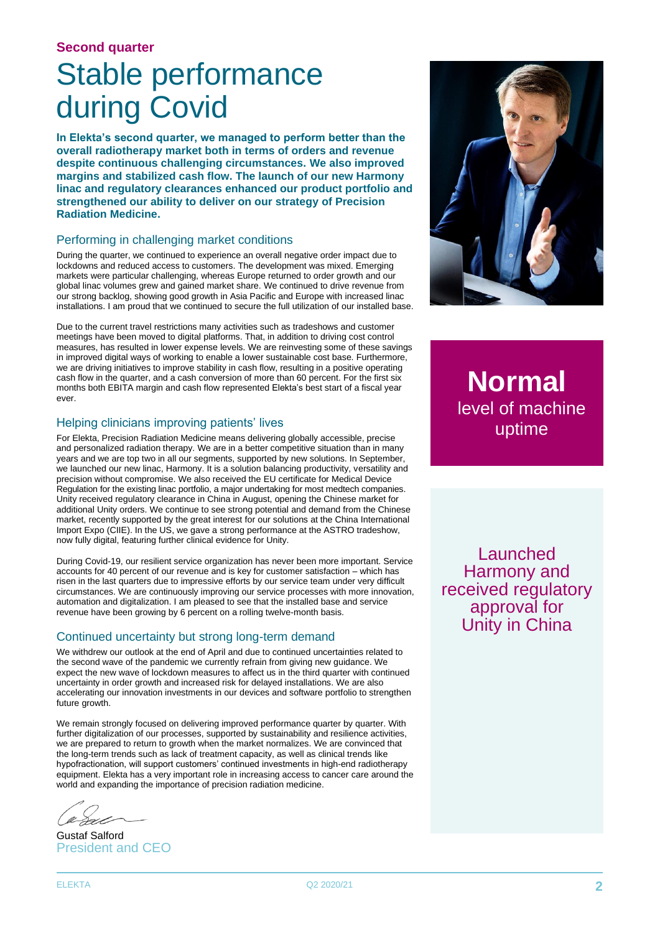#### **Second quarter**

# Stable performance during Covid

**In Elekta's second quarter, we managed to perform better than the overall radiotherapy market both in terms of orders and revenue despite continuous challenging circumstances. We also improved margins and stabilized cash flow. The launch of our new Harmony linac and regulatory clearances enhanced our product portfolio and strengthened our ability to deliver on our strategy of Precision Radiation Medicine.** 

#### Performing in challenging market conditions

During the quarter, we continued to experience an overall negative order impact due to lockdowns and reduced access to customers. The development was mixed. Emerging markets were particular challenging, whereas Europe returned to order growth and our global linac volumes grew and gained market share. We continued to drive revenue from our strong backlog, showing good growth in Asia Pacific and Europe with increased linac installations. I am proud that we continued to secure the full utilization of our installed base.

Due to the current travel restrictions many activities such as tradeshows and customer meetings have been moved to digital platforms. That, in addition to driving cost control measures, has resulted in lower expense levels. We are reinvesting some of these savings in improved digital ways of working to enable a lower sustainable cost base. Furthermore, we are driving initiatives to improve stability in cash flow, resulting in a positive operating cash flow in the quarter, and a cash conversion of more than 60 percent. For the first six months both EBITA margin and cash flow represented Elekta's best start of a fiscal year ever.

#### Helping clinicians improving patients' lives

For Elekta, Precision Radiation Medicine means delivering globally accessible, precise and personalized radiation therapy. We are in a better competitive situation than in many years and we are top two in all our segments, supported by new solutions. In September, we launched our new linac, Harmony. It is a solution balancing productivity, versatility and precision without compromise. We also received the EU certificate for Medical Device Regulation for the existing linac portfolio, a major undertaking for most medtech companies. Unity received regulatory clearance in China in August, opening the Chinese market for additional Unity orders. We continue to see strong potential and demand from the Chinese market, recently supported by the great interest for our solutions at the China International Import Expo (CIIE). In the US, we gave a strong performance at the ASTRO tradeshow, now fully digital, featuring further clinical evidence for Unity.

During Covid-19, our resilient service organization has never been more important. Service accounts for 40 percent of our revenue and is key for customer satisfaction – which has risen in the last quarters due to impressive efforts by our service team under very difficult circumstances. We are continuously improving our service processes with more innovation, automation and digitalization. I am pleased to see that the installed base and service revenue have been growing by 6 percent on a rolling twelve-month basis.

#### Continued uncertainty but strong long-term demand

We withdrew our outlook at the end of April and due to continued uncertainties related to the second wave of the pandemic we currently refrain from giving new guidance. We expect the new wave of lockdown measures to affect us in the third quarter with continued uncertainty in order growth and increased risk for delayed installations. We are also accelerating our innovation investments in our devices and software portfolio to strengthen future growth.

We remain strongly focused on delivering improved performance quarter by quarter. With further digitalization of our processes, supported by sustainability and resilience activities, we are prepared to return to growth when the market normalizes. We are convinced that the long-term trends such as lack of treatment capacity, as well as clinical trends like hypofractionation, will support customers' continued investments in high-end radiotherapy equipment. Elekta has a very important role in increasing access to cancer care around the world and expanding the importance of precision radiation medicine.

Gustaf Salford President and CEO



**Normal** level of machine uptime

**Launched** Harmony and received regulatory approval for Unity in China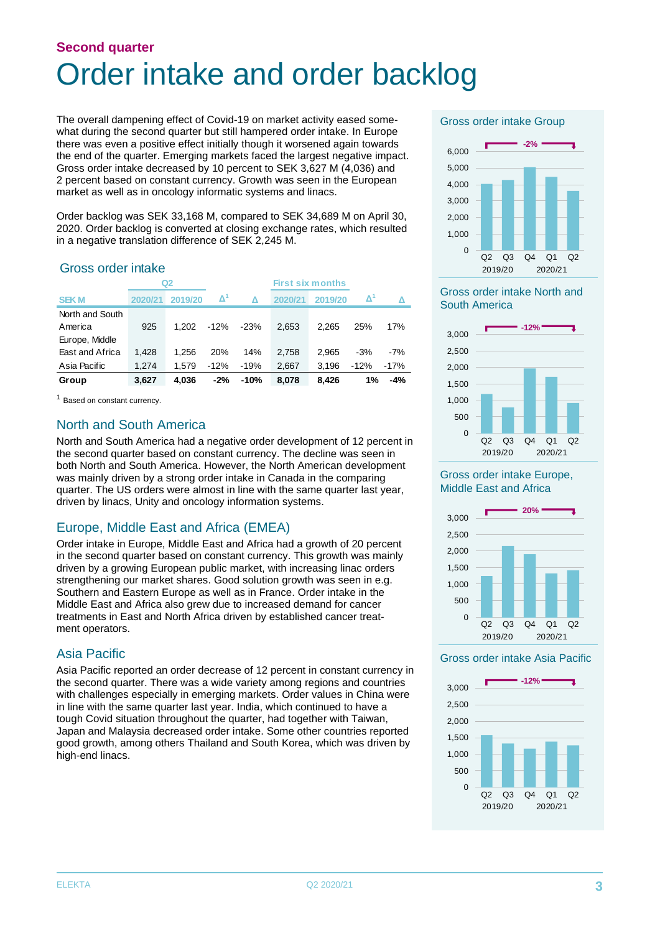# **Second quarter** Order intake and order backlog

The overall dampening effect of Covid-19 on market activity eased somewhat during the second quarter but still hampered order intake. In Europe there was even a positive effect initially though it worsened again towards the end of the quarter. Emerging markets faced the largest negative impact. Gross order intake decreased by 10 percent to SEK 3,627 M (4,036) and 2 percent based on constant currency. Growth was seen in the European market as well as in oncology informatic systems and linacs.

Order backlog was SEK 33,168 M, compared to SEK 34,689 M on April 30, 2020. Order backlog is converted at closing exchange rates, which resulted in a negative translation difference of SEK 2,245 M.

### Gross order intake

|                            |         | Q2      |                     |        |         | <b>First six months</b> |        |         |                                  |
|----------------------------|---------|---------|---------------------|--------|---------|-------------------------|--------|---------|----------------------------------|
| <b>SEKM</b>                | 2020/21 | 2019/20 | $\mathbf{\Delta}^n$ |        | 2020/21 | 2019/20                 |        | Δ       | Gross order<br><b>South Amer</b> |
| North and South<br>America | 925     | 1.202   | -12%                | $-23%$ | 2.653   | 2.265                   | 25%    | 17%     |                                  |
| Europe, Middle             |         |         |                     |        |         |                         |        |         | 3.000                            |
| East and Africa            | 1,428   | 1.256   | 20%                 | 14%    | 2.758   | 2.965                   | $-3%$  | $-7%$   | 2,500                            |
| Asia Pacific               | 1.274   | 1.579   | $-12%$              | $-19%$ | 2.667   | 3.196                   | $-12%$ | $-17\%$ | 2,000                            |
| Group                      | 3,627   | 4.036   | $-2%$               | $-10%$ | 8,078   | 8.426                   | 1%     | $-4%$   | 1.500                            |

<sup>1</sup> Based on constant currency.

### North and South America

North and South America had a negative order development of 12 percent in the second quarter based on constant currency. The decline was seen in both North and South America. However, the North American development was mainly driven by a strong order intake in Canada in the comparing quarter. The US orders were almost in line with the same quarter last year, driven by linacs, Unity and oncology information systems.

### Europe, Middle East and Africa (EMEA)

Order intake in Europe, Middle East and Africa had a growth of 20 percent in the second quarter based on constant currency. This growth was mainly driven by a growing European public market, with increasing linac orders strengthening our market shares. Good solution growth was seen in e.g. Southern and Eastern Europe as well as in France. Order intake in the Middle East and Africa also grew due to increased demand for cancer treatments in East and North Africa driven by established cancer treatment operators.

### Asia Pacific

Asia Pacific reported an order decrease of 12 percent in constant currency in the second quarter. There was a wide variety among regions and countries with challenges especially in emerging markets. Order values in China were in line with the same quarter last year. India, which continued to have a tough Covid situation throughout the quarter, had together with Taiwan, Japan and Malaysia decreased order intake. Some other countries reported good growth, among others Thailand and South Korea, which was driven by high-end linacs.

Gross order intake Group



#### **<sup>1</sup> Δ RTM FY 2019/20** South America Gross order intake North and



#### Gross order intake Europe, Middle East and Africa



#### Gross order intake Asia Pacific

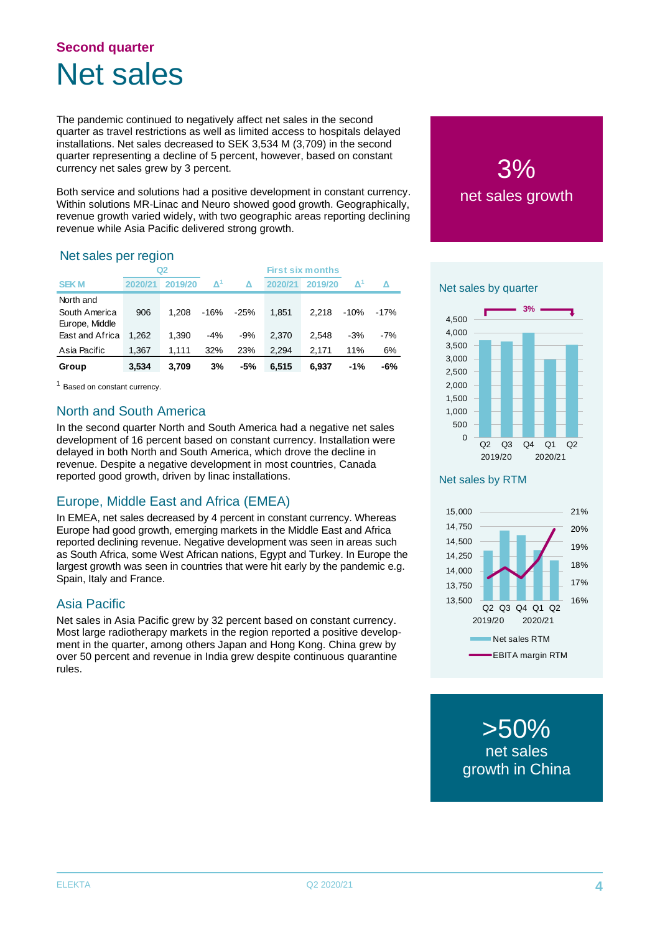# **Second quarter** Net sales

The pandemic continued to negatively affect net sales in the second quarter as travel restrictions as well as limited access to hospitals delayed installations. Net sales decreased to SEK 3,534 M (3,709) in the second quarter representing a decline of 5 percent, however, based on constant currency net sales grew by 3 percent.

Both service and solutions had a positive development in constant currency. Within solutions MR-Linac and Neuro showed good growth. Geographically, revenue growth varied widely, with two geographic areas reporting declining revenue while Asia Pacific delivered strong growth.

### Net sales per region

|                 |         | Q2      |       |        |         | <b>First six months</b> |       |       |                |
|-----------------|---------|---------|-------|--------|---------|-------------------------|-------|-------|----------------|
| <b>SEKM</b>     | 2020/21 | 2019/20 | Δ     |        | 2020/21 | 2019/20                 | V,    |       | Net sales by c |
| North and       |         |         |       |        |         |                         |       |       |                |
| South America   | 906     | 1.208   | -16%  | $-25%$ | 1,851   | 2.218                   | -10%  | -17%  |                |
| Europe, Middle  |         |         |       |        |         |                         |       |       | 4.500          |
| East and Africa | 1,262   | 1,390   | $-4%$ | $-9%$  | 2.370   | 2.548                   | $-3%$ | $-7%$ | 4,000          |
| Asia Pacific    | 1,367   | 1.111   | 32%   | 23%    | 2.294   | 2.171                   | 11%   | 6%    | 3,500          |
| Group           | 3,534   | 3.709   | 3%    | $-5%$  | 6,515   | 6.937                   | $-1%$ | -6%   | 3,000          |
|                 |         |         |       |        |         |                         |       |       | 2.500          |

<sup>1</sup> Based on constant currency.

### North and South America

In the second quarter North and South America had a negative net sales development of 16 percent based on constant currency. Installation were delayed in both North and South America, which drove the decline in revenue. Despite a negative development in most countries, Canada reported good growth, driven by linac installations.

# Europe, Middle East and Africa (EMEA)

In EMEA, net sales decreased by 4 percent in constant currency. Whereas Europe had good growth, emerging markets in the Middle East and Africa reported declining revenue. Negative development was seen in areas such as South Africa, some West African nations, Egypt and Turkey. In Europe the largest growth was seen in countries that were hit early by the pandemic e.g. Spain, Italy and France.

### Asia Pacific

Net sales in Asia Pacific grew by 32 percent based on constant currency. Most large radiotherapy markets in the region reported a positive development in the quarter, among others Japan and Hong Kong. China grew by over 50 percent and revenue in India grew despite continuous quarantine rules.

3% net sales growth



#### Net sales by RTM



>50% net sales growth in China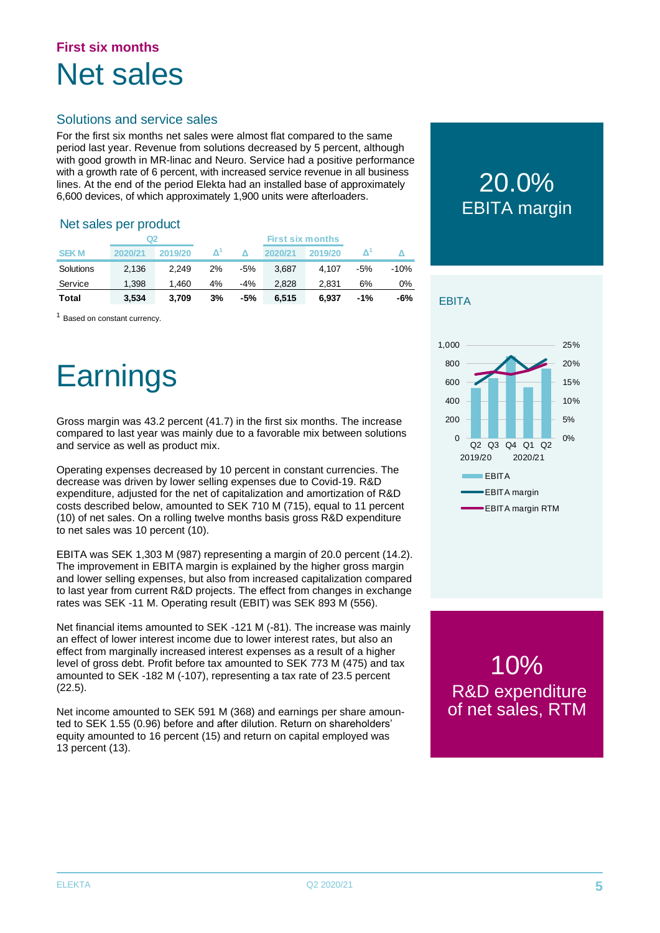# **First six months** Net sales

### Solutions and service sales

For the first six months net sales were almost flat compared to the same period last year. Revenue from solutions decreased by 5 percent, although with good growth in MR-linac and Neuro. Service had a positive performance with a growth rate of 6 percent, with increased service revenue in all business lines. At the end of the period Elekta had an installed base of approximately 6,600 devices, of which approximately 1,900 units were afterloaders.

#### Net sales per product

|              | Q2      |         |    |       |         |         |        |        |
|--------------|---------|---------|----|-------|---------|---------|--------|--------|
| <b>SEK M</b> | 2020/21 | 2019/20 | Δ  |       | 2020/21 | 2019/20 |        |        |
| Solutions    | 2,136   | 2.249   | 2% | $-5%$ | 3.687   | 4.107   | $-5%$  | $-10%$ |
| Service      | 1.398   | 1.460   | 4% | -4%   | 2.828   | 2.831   | 6%     | 0%     |
| <b>Total</b> | 3,534   | 3,709   | 3% | $-5%$ | 6.515   | 6.937   | $-1\%$ | -6%    |

<sup>1</sup> Based on constant currency.

# **Earnings**

Gross margin was 43.2 percent (41.7) in the first six months. The increase compared to last year was mainly due to a favorable mix between solutions and service as well as product mix.

Operating expenses decreased by 10 percent in constant currencies. The decrease was driven by lower selling expenses due to Covid-19. R&D expenditure, adjusted for the net of capitalization and amortization of R&D costs described below, amounted to SEK 710 M (715), equal to 11 percent (10) of net sales. On a rolling twelve months basis gross R&D expenditure to net sales was 10 percent (10).

EBITA was SEK 1,303 M (987) representing a margin of 20.0 percent (14.2). The improvement in EBITA margin is explained by the higher gross margin and lower selling expenses, but also from increased capitalization compared to last year from current R&D projects. The effect from changes in exchange rates was SEK -11 M. Operating result (EBIT) was SEK 893 M (556).

Net financial items amounted to SEK -121 M (-81). The increase was mainly an effect of lower interest income due to lower interest rates, but also an effect from marginally increased interest expenses as a result of a higher level of gross debt. Profit before tax amounted to SEK 773 M (475) and tax amounted to SEK -182 M (-107), representing a tax rate of 23.5 percent (22.5).

Net income amounted to SEK 591 M (368) and earnings per share amounted to SEK 1.55 (0.96) before and after dilution. Return on shareholders' equity amounted to 16 percent (15) and return on capital employed was 13 percent (13).

# 20.0% EBITA margin

### **EBITA**



10% R&D expenditure of net sales, RTM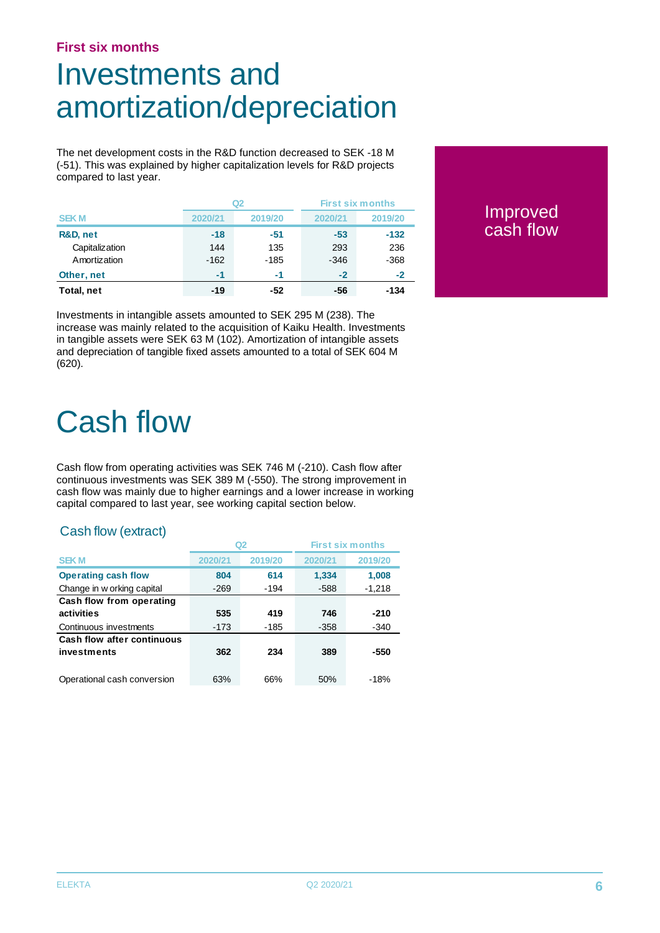### **First six months**

# Investments and amortization/depreciation

The net development costs in the R&D function decreased to SEK -18 M (-51). This was explained by higher capitalization levels for R&D projects compared to last year.

|                |         | Q2      | <b>First six months</b> |         |
|----------------|---------|---------|-------------------------|---------|
| <b>SEKM</b>    | 2020/21 | 2019/20 | 2020/21                 | 2019/20 |
| R&D, net       | $-18$   | $-51$   | $-53$                   | $-132$  |
| Capitalization | 144     | 135     | 293                     | 236     |
| Amortization   | $-162$  | $-185$  | $-346$                  | $-368$  |
| Other, net     | $-1$    | -1      | $-2$                    | $-2$    |
| Total, net     | $-19$   | -52     | -56                     | -134    |

**Improved** cash flow

Investments in intangible assets amounted to SEK 295 M (238). The increase was mainly related to the acquisition of Kaiku Health. Investments in tangible assets were SEK 63 M (102). Amortization of intangible assets and depreciation of tangible fixed assets amounted to a total of SEK 604 M (620).

# Cash flow

Cash flow from operating activities was SEK 746 M (-210). Cash flow after continuous investments was SEK 389 M (-550). The strong improvement in cash flow was mainly due to higher earnings and a lower increase in working capital compared to last year, see working capital section below.

### Cash flow (extract)

|                                   |         | Q2      |         | <b>First six months</b> |
|-----------------------------------|---------|---------|---------|-------------------------|
| <b>SEKM</b>                       | 2020/21 | 2019/20 | 2020/21 | 2019/20                 |
| <b>Operating cash flow</b>        | 804     | 614     | 1.334   | 1,008                   |
| Change in w orking capital        | $-269$  | -194    | $-588$  | $-1,218$                |
| Cash flow from operating          |         |         |         |                         |
| activities                        | 535     | 419     | 746     | -210                    |
| Continuous investments            | $-173$  | -185    | $-358$  | -340                    |
| <b>Cash flow after continuous</b> |         |         |         |                         |
| investments                       | 362     | 234     | 389     | -550                    |
|                                   |         |         |         |                         |
| Operational cash conversion       | 63%     | 66%     | 50%     | $-18%$                  |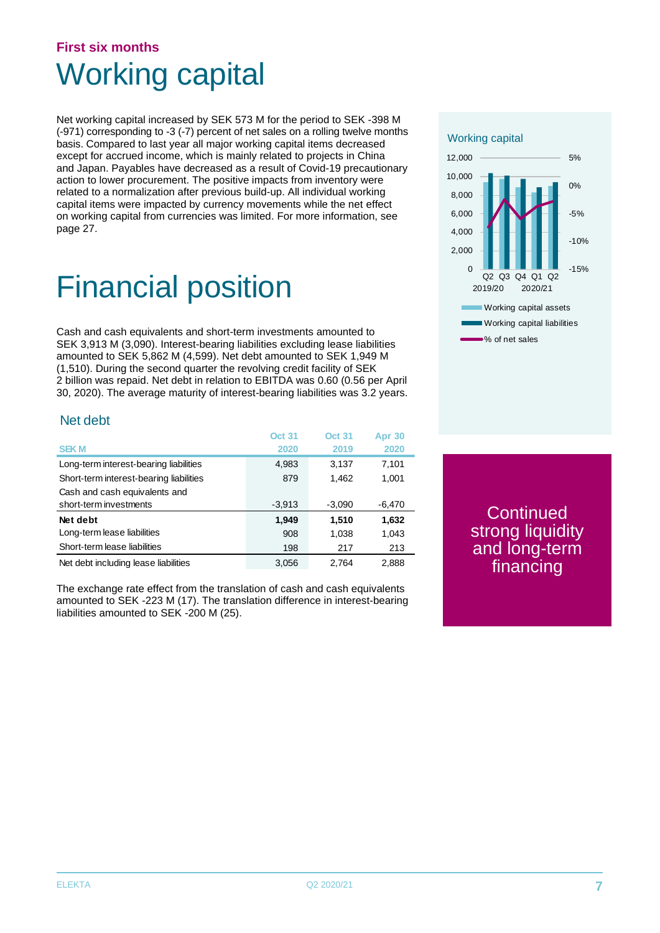# **First six months** Working capital

Net working capital increased by SEK 573 M for the period to SEK -398 M (-971) corresponding to -3 (-7) percent of net sales on a rolling twelve months basis. Compared to last year all major working capital items decreased except for accrued income, which is mainly related to projects in China and Japan. Payables have decreased as a result of Covid-19 precautionary action to lower procurement. The positive impacts from inventory were related to a normalization after previous build-up. All individual working capital items were impacted by currency movements while the net effect on working capital from currencies was limited. For more information, see page 27.

# Financial position

Cash and cash equivalents and short-term investments amounted to SEK 3,913 M (3,090). Interest-bearing liabilities excluding lease liabilities amounted to SEK 5,862 M (4,599). Net debt amounted to SEK 1,949 M (1,510). During the second quarter the revolving credit facility of SEK 2 billion was repaid. Net debt in relation to EBITDA was 0.60 (0.56 per April 30, 2020). The average maturity of interest-bearing liabilities was 3.2 years.

### Net debt

|                                         | <b>Oct 31</b> | <b>Oct 31</b> | <b>Apr 30</b> |
|-----------------------------------------|---------------|---------------|---------------|
| <b>SEKM</b>                             | 2020          | 2019          | 2020          |
| Long-term interest-bearing liabilities  | 4,983         | 3.137         | 7,101         |
| Short-term interest-bearing liabilities | 879           | 1,462         | 1,001         |
| Cash and cash equivalents and           |               |               |               |
| short-term investments                  | $-3,913$      | $-3,090$      | $-6,470$      |
| Net debt                                | 1,949         | 1,510         | 1,632         |
| Long-term lease liabilities             | 908           | 1,038         | 1,043         |
| Short-term lease liabilities            | 198           | 217           | 213           |
| Net debt including lease liabilities    | 3,056         | 2.764         | 2,888         |

The exchange rate effect from the translation of cash and cash equivalents amounted to SEK -223 M (17). The translation difference in interest-bearing liabilities amounted to SEK -200 M (25).



**Continued** strong liquidity and long-term financing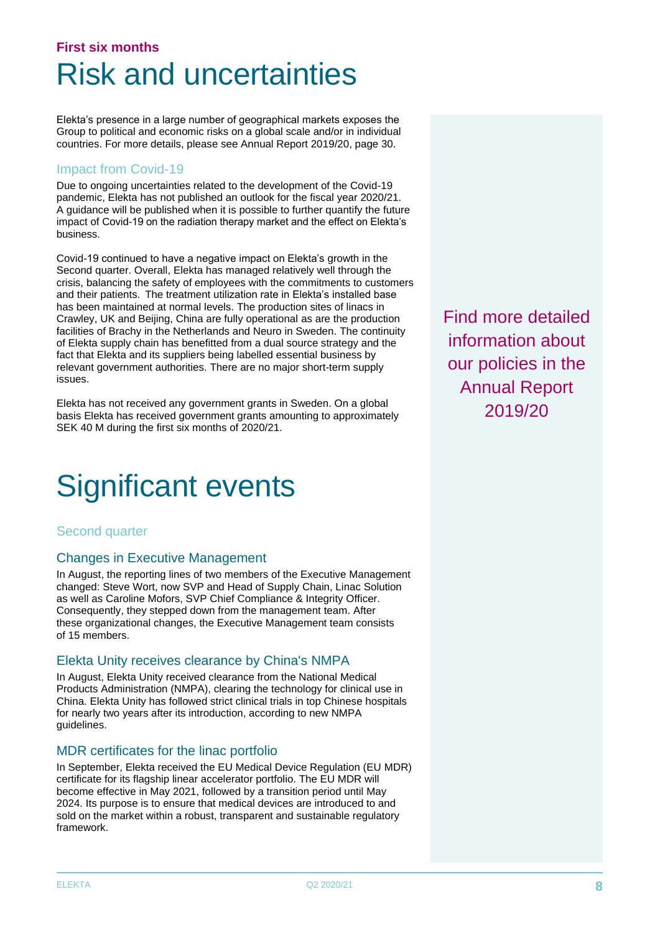# **First six months** Risk and uncertainties

Elekta's presence in a large number of geographical markets exposes the Group to political and economic risks on a global scale and/or in individual countries. For more details, please see Annual Report 2019/20, page 30.

### Impact from Covid-19

Due to ongoing uncertainties related to the development of the Covid-19 pandemic, Elekta has not published an outlook for the fiscal year 2020/21. A guidance will be published when it is possible to further quantify the future impact of Covid-19 on the radiation therapy market and the effect on Elekta's business.

Covid-19 continued to have a negative impact on Elekta's growth in the Second quarter. Overall, Elekta has managed relatively well through the crisis, balancing the safety of employees with the commitments to customers and their patients. The treatment utilization rate in Elekta's installed base has been maintained at normal levels. The production sites of linacs in Crawley, UK and Beijing, China are fully operational as are the production facilities of Brachy in the Netherlands and Neuro in Sweden. The continuity of Elekta supply chain has benefitted from a dual source strategy and the fact that Elekta and its suppliers being labelled essential business by relevant government authorities. There are no major short-term supply issues.

Elekta has not received any government grants in Sweden. On a global basis Elekta has received government grants amounting to approximately SEK 40 M during the first six months of 2020/21.

# Significant events

### Second quarter

### Changes in Executive Management

In August, the reporting lines of two members of the Executive Management changed: Steve Wort, now SVP and Head of Supply Chain, Linac Solution as well as Caroline Mofors, SVP Chief Compliance & Integrity Officer. Consequently, they stepped down from the management team. After these organizational changes, the Executive Management team consists of 15 members.

### Elekta Unity receives clearance by China's NMPA

In August, Elekta Unity received clearance from the National Medical Products Administration (NMPA), clearing the technology for clinical use in China. Elekta Unity has followed strict clinical trials in top Chinese hospitals for nearly two years after its introduction, according to new NMPA guidelines.

### MDR certificates for the linac portfolio

In September, Elekta received the EU Medical Device Regulation (EU MDR) certificate for its flagship linear accelerator portfolio. The EU MDR will become effective in May 2021, followed by a transition period until May 2024. Its purpose is to ensure that medical devices are introduced to and sold on the market within a robust, transparent and sustainable regulatory framework.

Find more detailed information about our policies in the Annual Report 2019/20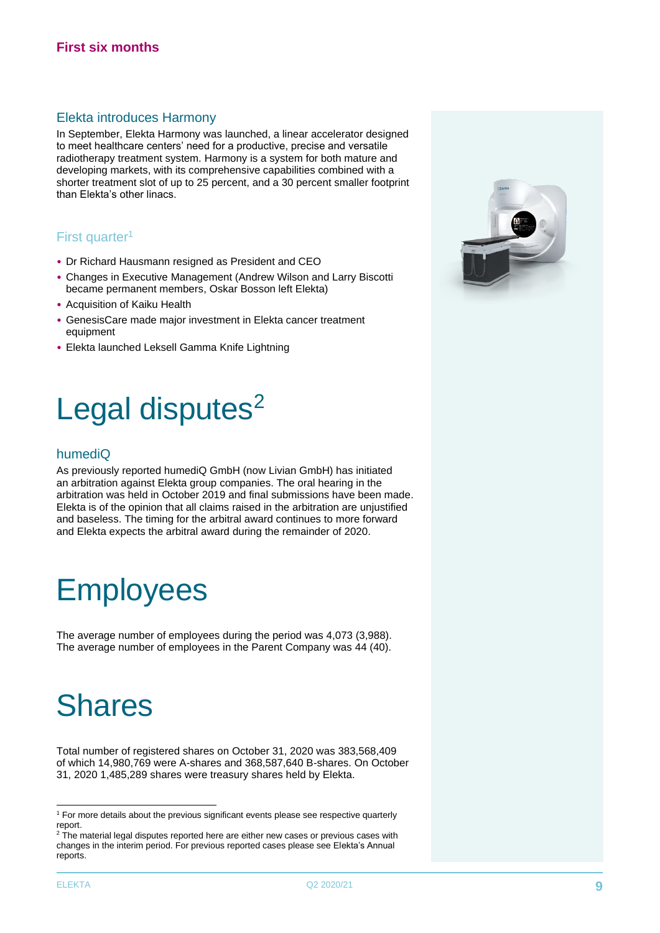#### Elekta introduces Harmony

In September, Elekta Harmony was launched, a linear accelerator designed to meet healthcare centers' need for a productive, precise and versatile radiotherapy treatment system. Harmony is a system for both mature and developing markets, with its comprehensive capabilities combined with a shorter treatment slot of up to 25 percent, and a 30 percent smaller footprint than Elekta's other linacs.

### First quarter<sup>1</sup>

- Dr Richard Hausmann resigned as President and CEO
- Changes in Executive Management (Andrew Wilson and Larry Biscotti became permanent members, Oskar Bosson left Elekta)
- Acquisition of Kaiku Health
- GenesisCare made major investment in Elekta cancer treatment equipment
- Elekta launched Leksell Gamma Knife Lightning

# Legal disputes<sup>2</sup>

#### humediQ

As previously reported humediQ GmbH (now Livian GmbH) has initiated an arbitration against Elekta group companies. The oral hearing in the arbitration was held in October 2019 and final submissions have been made. Elekta is of the opinion that all claims raised in the arbitration are unjustified and baseless. The timing for the arbitral award continues to more forward and Elekta expects the arbitral award during the remainder of 2020.

# **Employees**

The average number of employees during the period was 4,073 (3,988). The average number of employees in the Parent Company was 44 (40).

# Shares

Total number of registered shares on October 31, 2020 was 383,568,409 of which 14,980,769 were A-shares and 368,587,640 B-shares. On October 31, 2020 1,485,289 shares were treasury shares held by Elekta.

 $2$  The material legal disputes reported here are either new cases or previous cases with changes in the interim period. For previous reported cases please see Elekta's Annual reports.



<sup>&</sup>lt;sup>1</sup> For more details about the previous significant events please see respective quarterly report.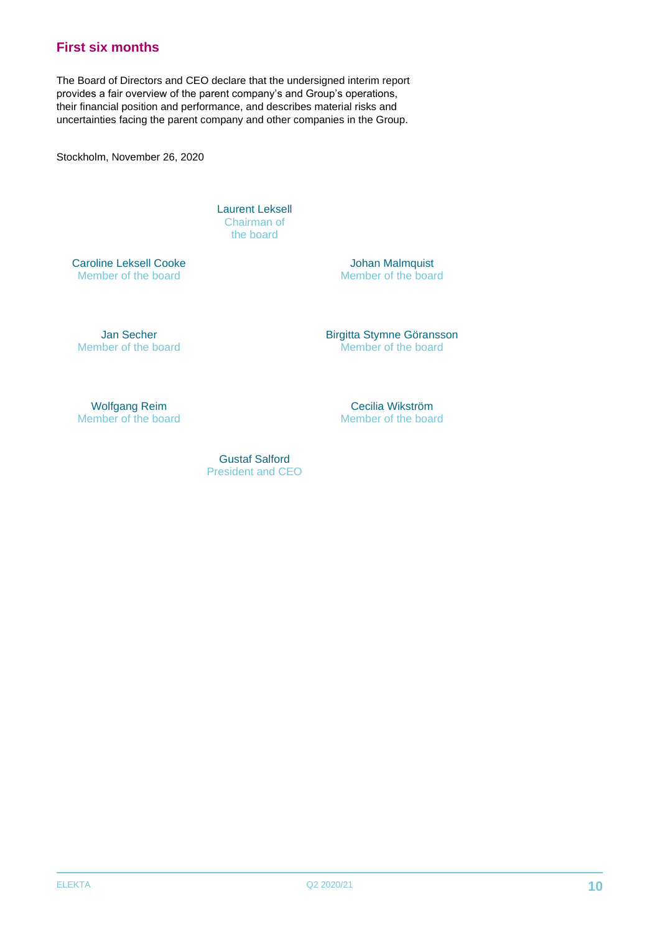# **First six months**

The Board of Directors and CEO declare that the undersigned interim report provides a fair overview of the parent company's and Group's operations, their financial position and performance, and describes material risks and uncertainties facing the parent company and other companies in the Group.

Stockholm, November 26, 2020

Laurent Leksell Chairman of the board

Caroline Leksell Cooke Member of the board

Johan Malmquist Member of the board

Jan Secher Member of the board Birgitta Stymne Göransson Member of the board

Wolfgang Reim Member of the board

Cecilia Wikström Member of the board

Gustaf Salford President and CEO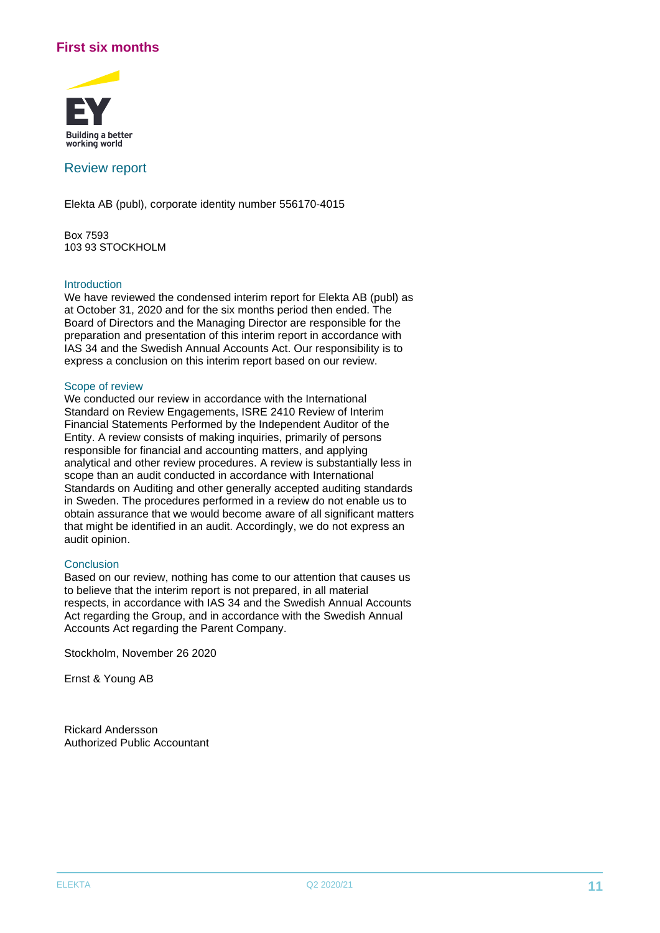### **First six months**



#### Review report

Elekta AB (publ), corporate identity number 556170-4015

Box 7593 103 93 STOCKHOLM

#### Introduction

We have reviewed the condensed interim report for Elekta AB (publ) as at October 31, 2020 and for the six months period then ended. The Board of Directors and the Managing Director are responsible for the preparation and presentation of this interim report in accordance with IAS 34 and the Swedish Annual Accounts Act. Our responsibility is to express a conclusion on this interim report based on our review.

#### Scope of review

We conducted our review in accordance with the International Standard on Review Engagements, ISRE 2410 Review of Interim Financial Statements Performed by the Independent Auditor of the Entity. A review consists of making inquiries, primarily of persons responsible for financial and accounting matters, and applying analytical and other review procedures. A review is substantially less in scope than an audit conducted in accordance with International Standards on Auditing and other generally accepted auditing standards in Sweden. The procedures performed in a review do not enable us to obtain assurance that we would become aware of all significant matters that might be identified in an audit. Accordingly, we do not express an audit opinion.

#### **Conclusion**

Based on our review, nothing has come to our attention that causes us to believe that the interim report is not prepared, in all material respects, in accordance with IAS 34 and the Swedish Annual Accounts Act regarding the Group, and in accordance with the Swedish Annual Accounts Act regarding the Parent Company.

Stockholm, November 26 2020

Ernst & Young AB

Rickard Andersson Authorized Public Accountant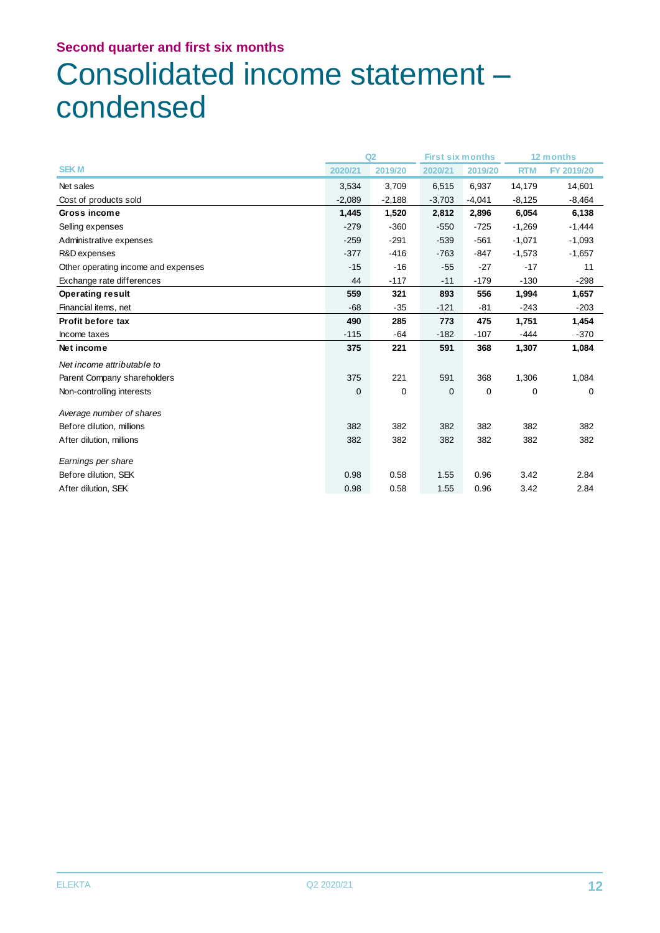# Consolidated income statement – condensed

|                                     |             | Q2          | <b>First six months</b> |          | 12 months   |            |
|-------------------------------------|-------------|-------------|-------------------------|----------|-------------|------------|
| <b>SEKM</b>                         | 2020/21     | 2019/20     | 2020/21                 | 2019/20  | <b>RTM</b>  | FY 2019/20 |
| Net sales                           | 3,534       | 3,709       | 6,515                   | 6,937    | 14,179      | 14,601     |
| Cost of products sold               | $-2,089$    | $-2,188$    | $-3,703$                | $-4,041$ | $-8,125$    | $-8,464$   |
| Gross income                        | 1,445       | 1,520       | 2,812                   | 2,896    | 6,054       | 6,138      |
| Selling expenses                    | $-279$      | $-360$      | $-550$                  | $-725$   | $-1,269$    | $-1,444$   |
| Administrative expenses             | $-259$      | $-291$      | $-539$                  | $-561$   | $-1,071$    | $-1,093$   |
| R&D expenses                        | $-377$      | $-416$      | $-763$                  | $-847$   | $-1,573$    | $-1,657$   |
| Other operating income and expenses | $-15$       | $-16$       | $-55$                   | $-27$    | $-17$       | 11         |
| Exchange rate differences           | 44          | $-117$      | $-11$                   | $-179$   | $-130$      | $-298$     |
| <b>Operating result</b>             | 559         | 321         | 893                     | 556      | 1,994       | 1,657      |
| Financial items, net                | $-68$       | $-35$       | $-121$                  | -81      | $-243$      | $-203$     |
| <b>Profit before tax</b>            | 490         | 285         | 773                     | 475      | 1,751       | 1,454      |
| Income taxes                        | $-115$      | -64         | $-182$                  | $-107$   | -444        | $-370$     |
| Net income                          | 375         | 221         | 591                     | 368      | 1,307       | 1,084      |
| Net income attributable to          |             |             |                         |          |             |            |
| Parent Company shareholders         | 375         | 221         | 591                     | 368      | 1,306       | 1,084      |
| Non-controlling interests           | $\mathbf 0$ | $\mathbf 0$ | $\mathbf{0}$            | 0        | $\mathbf 0$ | 0          |
| Average number of shares            |             |             |                         |          |             |            |
| Before dilution, millions           | 382         | 382         | 382                     | 382      | 382         | 382        |
| After dilution, millions            | 382         | 382         | 382                     | 382      | 382         | 382        |
| Earnings per share                  |             |             |                         |          |             |            |
| Before dilution, SEK                | 0.98        | 0.58        | 1.55                    | 0.96     | 3.42        | 2.84       |
| After dilution, SEK                 | 0.98        | 0.58        | 1.55                    | 0.96     | 3.42        | 2.84       |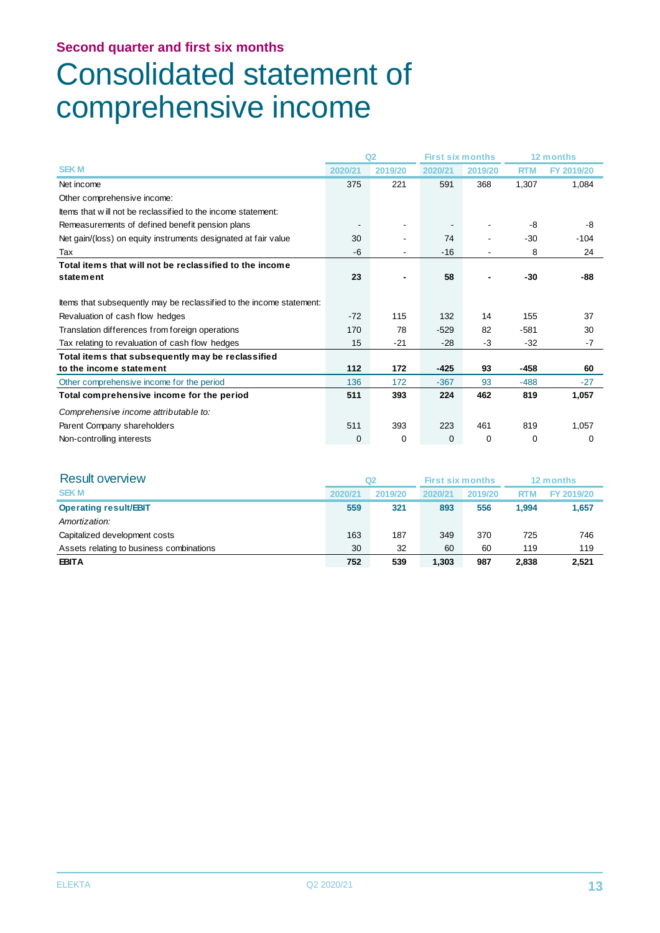# Consolidated statement of comprehensive income

|                                                                      |         | Q <sub>2</sub> | <b>First six months</b> |             | 12 months  |            |
|----------------------------------------------------------------------|---------|----------------|-------------------------|-------------|------------|------------|
| <b>SEKM</b>                                                          | 2020/21 | 2019/20        | 2020/21                 | 2019/20     | <b>RTM</b> | FY 2019/20 |
| Net income                                                           | 375     | 221            | 591                     | 368         | 1.307      | 1,084      |
| Other comprehensive income:                                          |         |                |                         |             |            |            |
| Items that will not be reclassified to the income statement:         |         |                |                         |             |            |            |
| Remeasurements of defined benefit pension plans                      |         |                |                         |             | -8         | -8         |
| Net gain/(loss) on equity instruments designated at fair value       | 30      |                | 74                      | ٠           | $-30$      | $-104$     |
| Tax                                                                  | -6      |                | $-16$                   |             | 8          | 24         |
| Total items that will not be reclassified to the income              |         |                |                         |             |            |            |
| statement                                                            | 23      |                | 58                      |             | $-30$      | -88        |
|                                                                      |         |                |                         |             |            |            |
| Items that subsequently may be reclassified to the income statement: |         |                |                         |             |            |            |
| Revaluation of cash flow hedges                                      | $-72$   | 115            | 132                     | 14          | 155        | 37         |
| Translation differences from foreign operations                      | 170     | 78             | $-529$                  | 82          | $-581$     | 30         |
| Tax relating to revaluation of cash flow hedges                      | 15      | $-21$          | $-28$                   | -3          | $-32$      | -7         |
| Total items that subsequently may be reclassified                    |         |                |                         |             |            |            |
| to the income statement                                              | 112     | 172            | $-425$                  | 93          | -458       | 60         |
| Other comprehensive income for the period                            | 136     | 172            | $-367$                  | 93          | $-488$     | $-27$      |
| Total comprehensive income for the period                            | 511     | 393            | 224                     | 462         | 819        | 1,057      |
| Comprehensive income attributable to:                                |         |                |                         |             |            |            |
| Parent Company shareholders                                          | 511     | 393            | 223                     | 461         | 819        | 1,057      |
| Non-controlling interests                                            | 0       | 0              | 0                       | $\mathbf 0$ | $\Omega$   | 0          |

| <b>Result overview</b>                   | Q2      |         |         | <b>First six months</b> |            | 12 months  |
|------------------------------------------|---------|---------|---------|-------------------------|------------|------------|
| <b>SEKM</b>                              | 2020/21 | 2019/20 | 2020/21 | 2019/20                 | <b>RTM</b> | FY 2019/20 |
| <b>Operating result/EBIT</b>             | 559     | 321     | 893     | 556                     | 1.994      | 1,657      |
| Amortization:                            |         |         |         |                         |            |            |
| Capitalized development costs            | 163     | 187     | 349     | 370                     | 725        | 746        |
| Assets relating to business combinations | 30      | 32      | 60      | 60                      | 119        | 119        |
| <b>EBITA</b>                             | 752     | 539     | 1,303   | 987                     | 2.838      | 2,521      |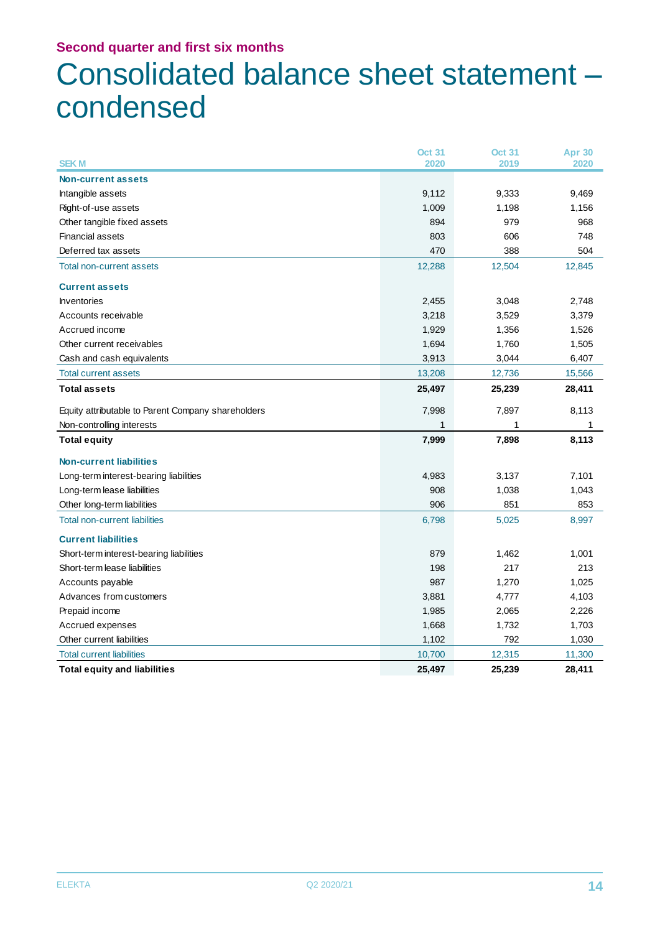# Consolidated balance sheet statement – condensed

| <b>SEKM</b>                                        | <b>Oct 31</b><br>2020 | <b>Oct 31</b><br>2019 | <b>Apr 30</b><br>2020 |
|----------------------------------------------------|-----------------------|-----------------------|-----------------------|
| <b>Non-current assets</b>                          |                       |                       |                       |
| Intangible assets                                  | 9,112                 | 9,333                 | 9,469                 |
| Right-of-use assets                                | 1,009                 | 1,198                 | 1,156                 |
| Other tangible fixed assets                        | 894                   | 979                   | 968                   |
| <b>Financial assets</b>                            | 803                   | 606                   | 748                   |
| Deferred tax assets                                | 470                   | 388                   | 504                   |
| <b>Total non-current assets</b>                    | 12,288                | 12,504                | 12,845                |
| <b>Current assets</b>                              |                       |                       |                       |
| <b>Inventories</b>                                 | 2,455                 | 3,048                 | 2,748                 |
| Accounts receivable                                | 3,218                 | 3,529                 | 3,379                 |
| Accrued income                                     | 1,929                 | 1,356                 | 1,526                 |
| Other current receivables                          | 1,694                 | 1,760                 | 1,505                 |
| Cash and cash equivalents                          | 3,913                 | 3,044                 | 6,407                 |
| <b>Total current assets</b>                        | 13,208                | 12,736                | 15,566                |
| <b>Total assets</b>                                | 25,497                | 25,239                | 28,411                |
| Equity attributable to Parent Company shareholders | 7,998                 | 7,897                 | 8,113                 |
| Non-controlling interests                          | 1                     |                       | 1                     |
| <b>Total equity</b>                                | 7,999                 | 7,898                 | 8,113                 |
| <b>Non-current liabilities</b>                     |                       |                       |                       |
| Long-term interest-bearing liabilities             | 4,983                 | 3,137                 | 7,101                 |
| Long-term lease liabilities                        | 908                   | 1,038                 | 1,043                 |
| Other long-term liabilities                        | 906                   | 851                   | 853                   |
| <b>Total non-current liabilities</b>               | 6,798                 | 5,025                 | 8,997                 |
| <b>Current liabilities</b>                         |                       |                       |                       |
| Short-term interest-bearing liabilities            | 879                   | 1,462                 | 1,001                 |
| Short-term lease liabilities                       | 198                   | 217                   | 213                   |
| Accounts payable                                   | 987                   | 1,270                 | 1,025                 |
| Advances from customers                            | 3,881                 | 4,777                 | 4,103                 |
| Prepaid income                                     | 1,985                 | 2,065                 | 2,226                 |
| Accrued expenses                                   | 1,668                 | 1,732                 | 1,703                 |
| Other current liabilities                          | 1,102                 | 792                   | 1,030                 |
| <b>Total current liabilities</b>                   | 10,700                | 12,315                | 11,300                |
| <b>Total equity and liabilities</b>                | 25,497                | 25,239                | 28,411                |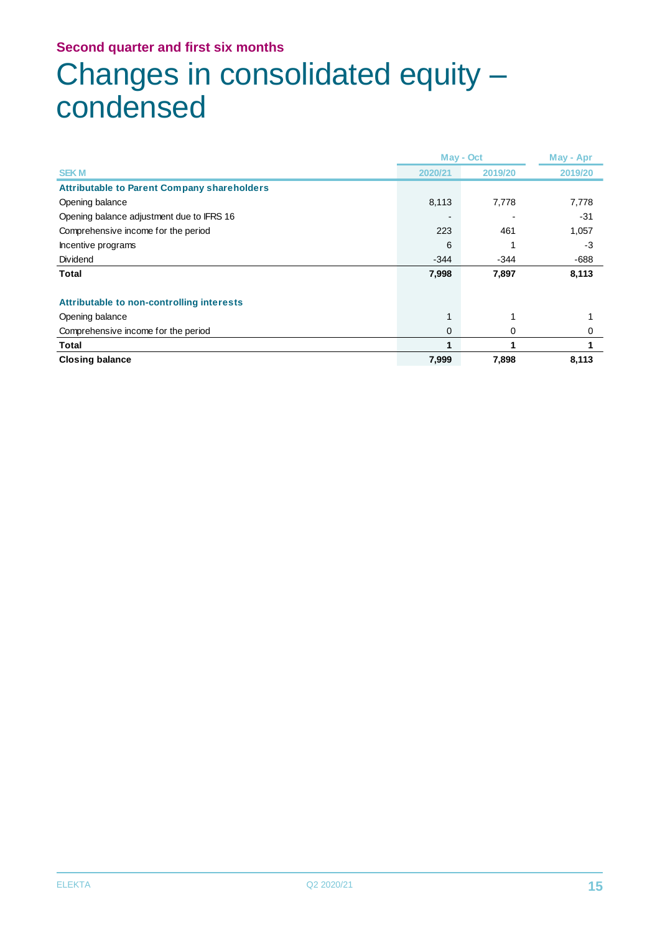# Changes in consolidated equity – condensed

|                                                    | May - Oct |         | May - Apr |
|----------------------------------------------------|-----------|---------|-----------|
| <b>SEKM</b>                                        | 2020/21   | 2019/20 | 2019/20   |
| <b>Attributable to Parent Company shareholders</b> |           |         |           |
| Opening balance                                    | 8,113     | 7,778   | 7,778     |
| Opening balance adjustment due to IFRS 16          |           |         | $-31$     |
| Comprehensive income for the period                | 223       | 461     | 1,057     |
| Incentive programs                                 | 6         |         | $-3$      |
| Dividend                                           | $-344$    | $-344$  | $-688$    |
| Total                                              | 7,998     | 7,897   | 8,113     |
| Attributable to non-controlling interests          |           |         |           |
| Opening balance                                    |           |         |           |
| Comprehensive income for the period                | 0         | 0       |           |
| Total                                              |           |         |           |
| <b>Closing balance</b>                             | 7,999     | 7,898   | 8,113     |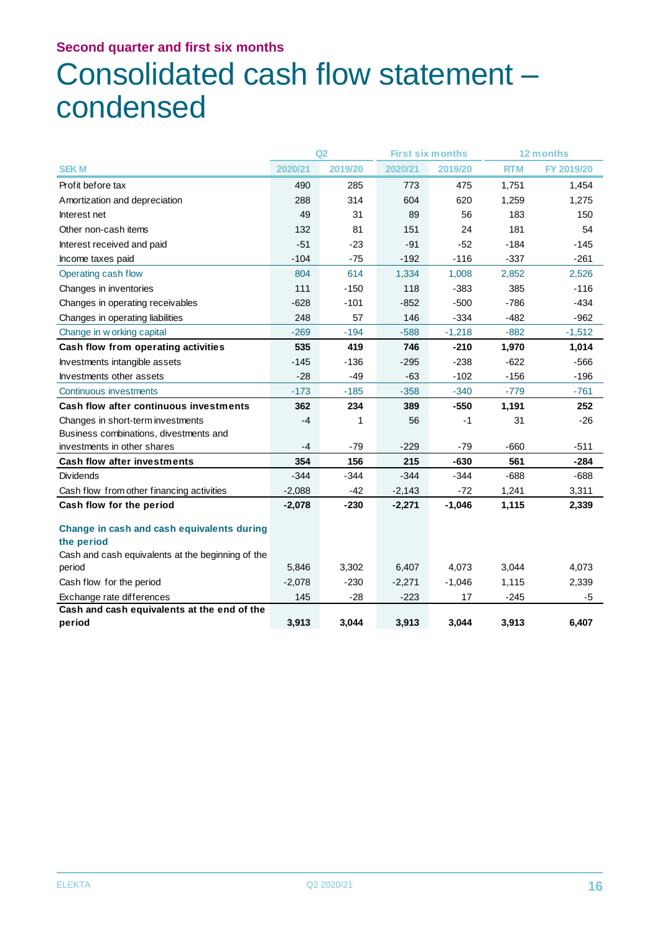# Consolidated cash flow statement – condensed

|                                                          |          | Q2      | <b>First six months</b> |          | 12 months  |            |
|----------------------------------------------------------|----------|---------|-------------------------|----------|------------|------------|
| <b>SEKM</b>                                              | 2020/21  | 2019/20 | 2020/21                 | 2019/20  | <b>RTM</b> | FY 2019/20 |
| Profit before tax                                        | 490      | 285     | 773                     | 475      | 1,751      | 1,454      |
| Amortization and depreciation                            | 288      | 314     | 604                     | 620      | 1,259      | 1,275      |
| Interest net                                             | 49       | 31      | 89                      | 56       | 183        | 150        |
| Other non-cash items                                     | 132      | 81      | 151                     | 24       | 181        | 54         |
| Interest received and paid                               | $-51$    | $-23$   | $-91$                   | $-52$    | $-184$     | $-145$     |
| Income taxes paid                                        | $-104$   | $-75$   | $-192$                  | $-116$   | $-337$     | $-261$     |
| Operating cash flow                                      | 804      | 614     | 1,334                   | 1,008    | 2,852      | 2,526      |
| Changes in inventories                                   | 111      | $-150$  | 118                     | $-383$   | 385        | $-116$     |
| Changes in operating receivables                         | $-628$   | $-101$  | $-852$                  | $-500$   | $-786$     | $-434$     |
| Changes in operating liabilities                         | 248      | 57      | 146                     | $-334$   | $-482$     | $-962$     |
| Change in w orking capital                               | $-269$   | $-194$  | $-588$                  | $-1,218$ | $-882$     | $-1,512$   |
| Cash flow from operating activities                      | 535      | 419     | 746                     | $-210$   | 1,970      | 1,014      |
| Investments intangible assets                            | $-145$   | $-136$  | $-295$                  | $-238$   | $-622$     | $-566$     |
| Investments other assets                                 | $-28$    | -49     | $-63$                   | $-102$   | $-156$     | $-196$     |
| Continuous investments                                   | $-173$   | $-185$  | $-358$                  | $-340$   | $-779$     | $-761$     |
| Cash flow after continuous investments                   | 362      | 234     | 389                     | $-550$   | 1,191      | 252        |
| Changes in short-term investments                        | $-4$     | 1       | 56                      | $-1$     | 31         | $-26$      |
| Business combinations, divestments and                   |          |         |                         |          |            |            |
| investments in other shares                              | $-4$     | $-79$   | $-229$                  | $-79$    | $-660$     | $-511$     |
| <b>Cash flow after investments</b>                       | 354      | 156     | 215                     | $-630$   | 561        | $-284$     |
| <b>Dividends</b>                                         | $-344$   | $-344$  | $-344$                  | $-344$   | $-688$     | $-688$     |
| Cash flow from other financing activities                | $-2,088$ | $-42$   | $-2,143$                | $-72$    | 1,241      | 3,311      |
| Cash flow for the period                                 | $-2,078$ | $-230$  | $-2,271$                | $-1,046$ | 1,115      | 2,339      |
| Change in cash and cash equivalents during<br>the period |          |         |                         |          |            |            |
| Cash and cash equivalents at the beginning of the        |          |         |                         |          |            |            |
| period                                                   | 5,846    | 3,302   | 6,407                   | 4,073    | 3,044      | 4,073      |
| Cash flow for the period                                 | $-2,078$ | $-230$  | $-2,271$                | $-1,046$ | 1,115      | 2,339      |
| Exchange rate differences                                | 145      | $-28$   | $-223$                  | 17       | $-245$     | -5         |
| Cash and cash equivalents at the end of the              |          |         |                         |          |            |            |
| period                                                   | 3,913    | 3,044   | 3,913                   | 3,044    | 3,913      | 6,407      |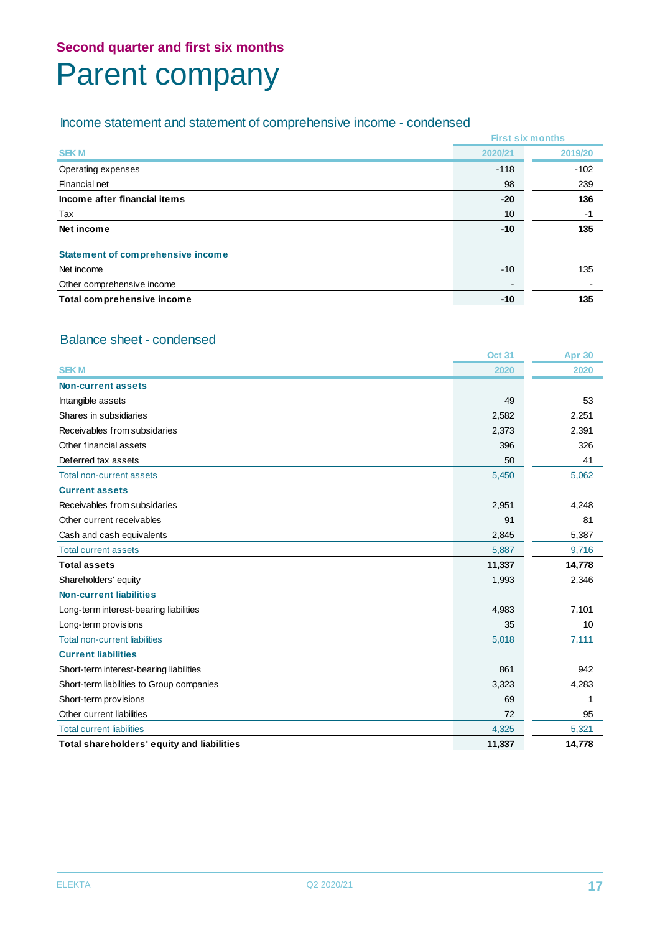# Parent company

# Income statement and statement of comprehensive income - condensed

|                                          | <b>First six months</b> |         |  |
|------------------------------------------|-------------------------|---------|--|
| <b>SEKM</b>                              | 2020/21                 | 2019/20 |  |
| Operating expenses                       | $-118$                  | $-102$  |  |
| Financial net                            | 98                      | 239     |  |
| Income after financial items             | $-20$                   | 136     |  |
| Tax                                      | 10                      | $-1$    |  |
| Net income                               | $-10$                   | 135     |  |
| <b>Statement of comprehensive income</b> |                         |         |  |
| Net income                               | $-10$                   | 135     |  |
| Other comprehensive income               | $\blacksquare$          |         |  |
| Total comprehensive income               | $-10$                   | 135     |  |

# Balance sheet - condensed

|                                            | <b>Oct 31</b> | <b>Apr 30</b> |
|--------------------------------------------|---------------|---------------|
| <b>SEKM</b>                                | 2020          | 2020          |
| <b>Non-current assets</b>                  |               |               |
| Intangible assets                          | 49            | 53            |
| Shares in subsidiaries                     | 2,582         | 2,251         |
| Receivables from subsidaries               | 2,373         | 2,391         |
| Other financial assets                     | 396           | 326           |
| Deferred tax assets                        | 50            | 41            |
| <b>Total non-current assets</b>            | 5,450         | 5,062         |
| <b>Current assets</b>                      |               |               |
| Receivables from subsidaries               | 2,951         | 4,248         |
| Other current receivables                  | 91            | 81            |
| Cash and cash equivalents                  | 2,845         | 5,387         |
| <b>Total current assets</b>                | 5,887         | 9,716         |
| <b>Total assets</b>                        | 11,337        | 14,778        |
| Shareholders' equity                       | 1,993         | 2,346         |
| <b>Non-current liabilities</b>             |               |               |
| Long-term interest-bearing liabilities     | 4,983         | 7,101         |
| Long-term provisions                       | 35            | 10            |
| <b>Total non-current liabilities</b>       | 5,018         | 7,111         |
| <b>Current liabilities</b>                 |               |               |
| Short-term interest-bearing liabilities    | 861           | 942           |
| Short-term liabilities to Group companies  | 3,323         | 4,283         |
| Short-term provisions                      | 69            |               |
| Other current liabilities                  | 72            | 95            |
| <b>Total current liabilities</b>           | 4,325         | 5,321         |
| Total shareholders' equity and liabilities | 11,337        | 14.778        |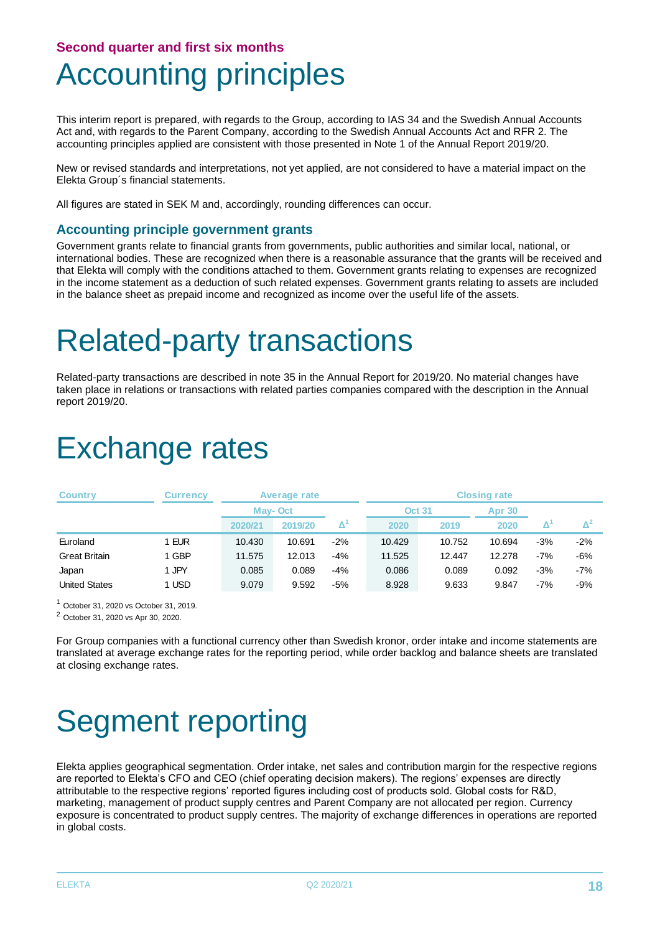# Accounting principles

This interim report is prepared, with regards to the Group, according to IAS 34 and the Swedish Annual Accounts Act and, with regards to the Parent Company, according to the Swedish Annual Accounts Act and RFR 2. The accounting principles applied are consistent with those presented in Note 1 of the Annual Report 2019/20.

New or revised standards and interpretations, not yet applied, are not considered to have a material impact on the Elekta Group´s financial statements.

All figures are stated in SEK M and, accordingly, rounding differences can occur.

#### **Accounting principle government grants**

Government grants relate to financial grants from governments, public authorities and similar local, national, or international bodies. These are recognized when there is a reasonable assurance that the grants will be received and that Elekta will comply with the conditions attached to them. Government grants relating to expenses are recognized in the income statement as a deduction of such related expenses. Government grants relating to assets are included in the balance sheet as prepaid income and recognized as income over the useful life of the assets.

# Related-party transactions

Related-party transactions are described in note 35 in the Annual Report for 2019/20. No material changes have taken place in relations or transactions with related parties companies compared with the description in the Annual report 2019/20.

# Exchange rates

| <b>Country</b>       | <b>Currency</b> |         | Average rate |       | <b>Closing rate</b> |        |        |       |       |
|----------------------|-----------------|---------|--------------|-------|---------------------|--------|--------|-------|-------|
|                      |                 | May-Oct |              |       | <b>Oct 31</b>       |        | Apr 30 |       |       |
|                      |                 | 2020/21 | 2019/20      | Δ,    | 2020                | 2019   | 2020   |       |       |
| Euroland             | 1 EUR           | 10.430  | 10.691       | $-2%$ | 10.429              | 10.752 | 10.694 | $-3%$ | $-2%$ |
| <b>Great Britain</b> | 1 GBP           | 11.575  | 12.013       | $-4%$ | 11.525              | 12.447 | 12.278 | $-7%$ | -6%   |
| Japan                | 1 JPY           | 0.085   | 0.089        | $-4%$ | 0.086               | 0.089  | 0.092  | $-3%$ | $-7%$ |
| <b>United States</b> | 1 USD           | 9.079   | 9.592        | $-5%$ | 8.928               | 9.633  | 9.847  | -7%   | -9%   |

<sup>1</sup> October 31, 2020 vs October 31, 2019.

<sup>2</sup> October 31, 2020 vs Apr 30, 2020.

For Group companies with a functional currency other than Swedish kronor, order intake and income statements are translated at average exchange rates for the reporting period, while order backlog and balance sheets are translated at closing exchange rates.

# Segment reporting

Elekta applies geographical segmentation. Order intake, net sales and contribution margin for the respective regions are reported to Elekta's CFO and CEO (chief operating decision makers). The regions' expenses are directly attributable to the respective regions' reported figures including cost of products sold. Global costs for R&D, marketing, management of product supply centres and Parent Company are not allocated per region. Currency exposure is concentrated to product supply centres. The majority of exchange differences in operations are reported in global costs.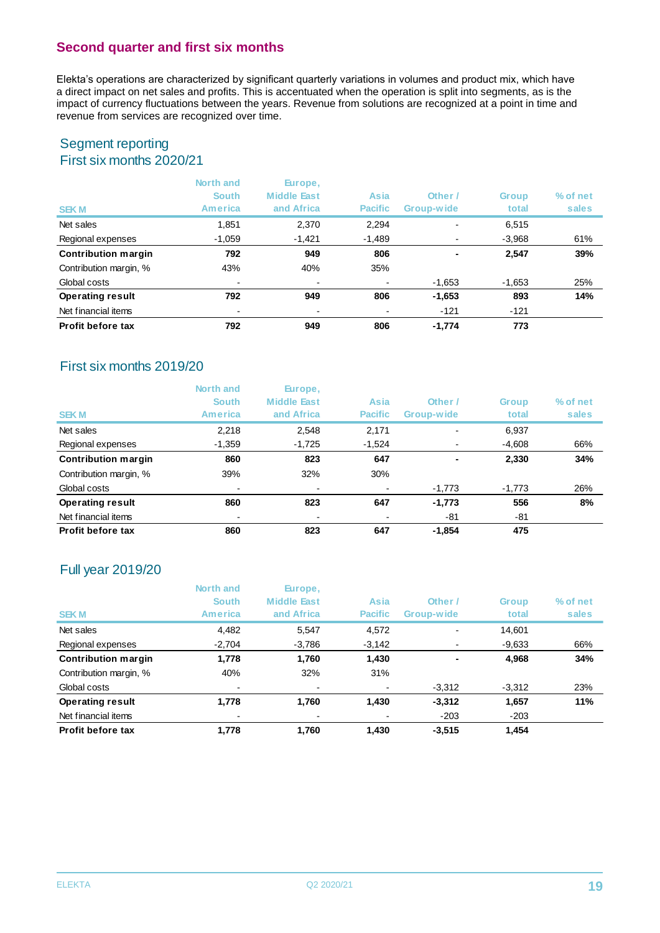Elekta's operations are characterized by significant quarterly variations in volumes and product mix, which have a direct impact on net sales and profits. This is accentuated when the operation is split into segments, as is the impact of currency fluctuations between the years. Revenue from solutions are recognized at a point in time and revenue from services are recognized over time.

### Segment reporting First six months 2020/21

| <b>SEKM</b>                | North and<br><b>South</b><br>America | Europe,<br><b>Middle East</b><br>and Africa | Asia<br><b>Pacific</b> | Other /<br>Group-wide    | <b>Group</b><br>total | % of net<br>sales |
|----------------------------|--------------------------------------|---------------------------------------------|------------------------|--------------------------|-----------------------|-------------------|
| Net sales                  | 1,851                                | 2,370                                       | 2,294                  | $\overline{\phantom{0}}$ | 6,515                 |                   |
| Regional expenses          | $-1,059$                             | $-1,421$                                    | -1,489                 |                          | $-3,968$              | 61%               |
| <b>Contribution margin</b> | 792                                  | 949                                         | 806                    |                          | 2,547                 | 39%               |
| Contribution margin, %     | 43%                                  | 40%                                         | 35%                    |                          |                       |                   |
| Global costs               | $\overline{\phantom{0}}$             |                                             | $\blacksquare$         | -1,653                   | $-1,653$              | 25%               |
| <b>Operating result</b>    | 792                                  | 949                                         | 806                    | $-1,653$                 | 893                   | 14%               |
| Net financial items        |                                      |                                             |                        | $-121$                   | $-121$                |                   |
| <b>Profit before tax</b>   | 792                                  | 949                                         | 806                    | $-1,774$                 | 773                   |                   |

# First six months 2019/20

|                            | North and                | Europe,            |                          |                |              |          |
|----------------------------|--------------------------|--------------------|--------------------------|----------------|--------------|----------|
|                            | <b>South</b>             | <b>Middle East</b> | Asia                     | Other /        | <b>Group</b> | % of net |
| <b>SEKM</b>                | <b>America</b>           | and Africa         | <b>Pacific</b>           | Group-wide     | total        | sales    |
| Net sales                  | 2,218                    | 2,548              | 2,171                    | $\blacksquare$ | 6,937        |          |
| Regional expenses          | $-1,359$                 | $-1,725$           | $-1,524$                 |                | $-4,608$     | 66%      |
| <b>Contribution margin</b> | 860                      | 823                | 647                      | $\blacksquare$ | 2,330        | 34%      |
| Contribution margin, %     | 39%                      | 32%                | 30%                      |                |              |          |
| Global costs               | ٠                        |                    | $\overline{\phantom{0}}$ | $-1,773$       | $-1,773$     | 26%      |
| <b>Operating result</b>    | 860                      | 823                | 647                      | $-1,773$       | 556          | 8%       |
| Net financial items        | $\overline{\phantom{a}}$ |                    |                          | -81            | -81          |          |
| Profit before tax          | 860                      | 823                | 647                      | $-1,854$       | 475          |          |

# Full year 2019/20

| <b>SEKM</b>                | North and<br><b>South</b><br><b>America</b> | Europe,<br><b>Middle East</b><br>and Africa | Asia<br><b>Pacific</b> | Other /<br>Group-wide | <b>Group</b><br>total | % of net<br>sales |
|----------------------------|---------------------------------------------|---------------------------------------------|------------------------|-----------------------|-----------------------|-------------------|
| Net sales                  | 4,482                                       | 5,547                                       | 4,572                  |                       | 14,601                |                   |
| Regional expenses          | $-2,704$                                    | $-3,786$                                    | $-3,142$               |                       | $-9,633$              | 66%               |
| <b>Contribution margin</b> | 1,778                                       | 1.760                                       | 1,430                  |                       | 4,968                 | 34%               |
| Contribution margin, %     | 40%                                         | 32%                                         | 31%                    |                       |                       |                   |
| Global costs               |                                             |                                             |                        | $-3,312$              | $-3,312$              | 23%               |
| <b>Operating result</b>    | 1,778                                       | 1,760                                       | 1,430                  | $-3,312$              | 1,657                 | 11%               |
| Net financial items        |                                             |                                             |                        | $-203$                | $-203$                |                   |
| Profit before tax          | 1.778                                       | 1.760                                       | 1.430                  | $-3.515$              | 1.454                 |                   |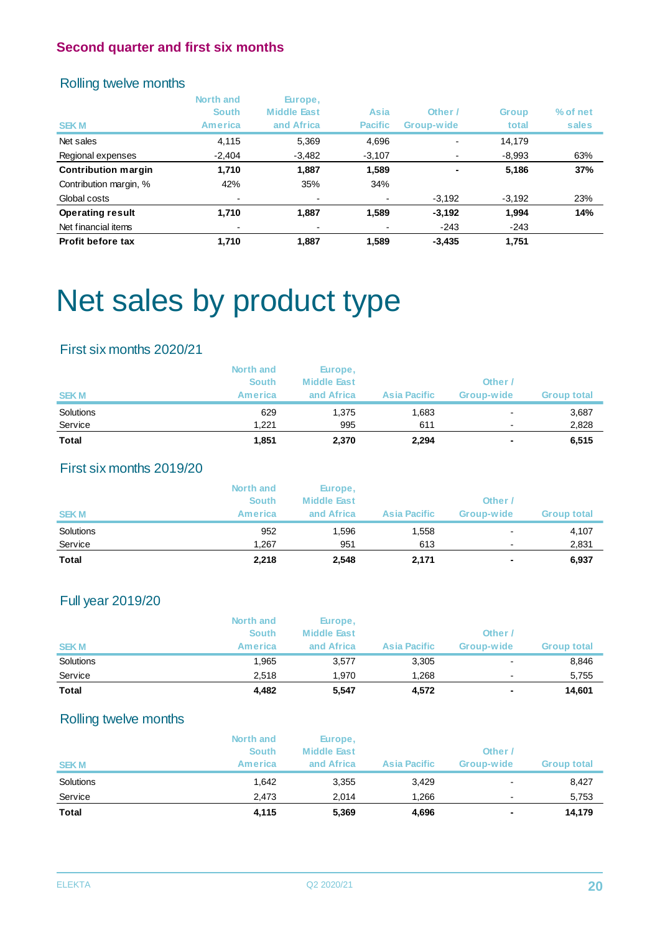# Rolling twelve months

|                            | North and<br><b>South</b> | Europe,<br><b>Middle East</b> | Asia           | Other /    | <b>Group</b> | % of net |
|----------------------------|---------------------------|-------------------------------|----------------|------------|--------------|----------|
| <b>SEKM</b>                | <b>America</b>            | and Africa                    | <b>Pacific</b> | Group-wide | total        | sales    |
| Net sales                  | 4,115                     | 5,369                         | 4,696          |            | 14.179       |          |
| Regional expenses          | $-2,404$                  | $-3,482$                      | $-3,107$       |            | $-8,993$     | 63%      |
| <b>Contribution margin</b> | 1,710                     | 1.887                         | 1,589          |            | 5,186        | 37%      |
| Contribution margin, %     | 42%                       | 35%                           | 34%            |            |              |          |
| Global costs               | $\overline{\phantom{a}}$  |                               |                | $-3,192$   | $-3,192$     | 23%      |
| <b>Operating result</b>    | 1,710                     | 1,887                         | 1,589          | $-3,192$   | 1,994        | 14%      |
| Net financial items        |                           |                               |                | $-243$     | $-243$       |          |
| Profit before tax          | 1,710                     | 1,887                         | 1,589          | $-3,435$   | 1,751        |          |

# Net sales by product type

# First six months 2020/21

| <b>Total</b> | 1,851          | 2,370              | 2,294               | ۰              | 6,515              |
|--------------|----------------|--------------------|---------------------|----------------|--------------------|
| Service      | 1.221          | 995                | 611                 | $\blacksquare$ | 2,828              |
| Solutions    | 629            | 1,375              | 1,683               |                | 3,687              |
| <b>SEKM</b>  | <b>America</b> | and Africa         | <b>Asia Pacific</b> | Group-wide     | <b>Group total</b> |
|              | <b>South</b>   | <b>Middle East</b> |                     | Other          |                    |
|              | North and      | Europe,            |                     |                |                    |

# First six months 2019/20

|             | North and<br><b>South</b> | Europe,<br><b>Middle East</b> |                     | Other /        |                    |
|-------------|---------------------------|-------------------------------|---------------------|----------------|--------------------|
| <b>SEKM</b> | America                   | and Africa                    | <b>Asia Pacific</b> | Group-wide     | <b>Group total</b> |
| Solutions   | 952                       | 1.596                         | 1,558               | $\blacksquare$ | 4,107              |
| Service     | 1.267                     | 951                           | 613                 | $\blacksquare$ | 2,831              |
| Total       | 2,218                     | 2,548                         | 2,171               | $\sim$         | 6,937              |

# Full year 2019/20

| <b>Total</b> | 4,482        | 5,547              | 4,572               | $\sim$                   | 14.601             |
|--------------|--------------|--------------------|---------------------|--------------------------|--------------------|
| Service      | 2.518        | 1.970              | 1.268               | $\overline{\phantom{a}}$ | 5.755              |
| Solutions    | 1.965        | 3,577              | 3,305               | $\blacksquare$           | 8,846              |
| <b>SEKM</b>  | America      | and Africa         | <b>Asia Pacific</b> | Group-wide               | <b>Group total</b> |
|              | <b>South</b> | <b>Middle East</b> |                     | Other /                  |                    |
|              | North and    | Europe,            |                     |                          |                    |

# Rolling twelve months

|              | North and<br><b>South</b> | Europe,<br><b>Middle East</b> |                     | Other /                  |                    |
|--------------|---------------------------|-------------------------------|---------------------|--------------------------|--------------------|
| <b>SEKM</b>  | <b>America</b>            | and Africa                    | <b>Asia Pacific</b> | Group-wide               | <b>Group total</b> |
| Solutions    | 1.642                     | 3,355                         | 3,429               | $\overline{\phantom{0}}$ | 8,427              |
| Service      | 2.473                     | 2.014                         | 1.266               | $\blacksquare$           | 5,753              |
| <b>Total</b> | 4,115                     | 5,369                         | 4,696               | ٠                        | 14,179             |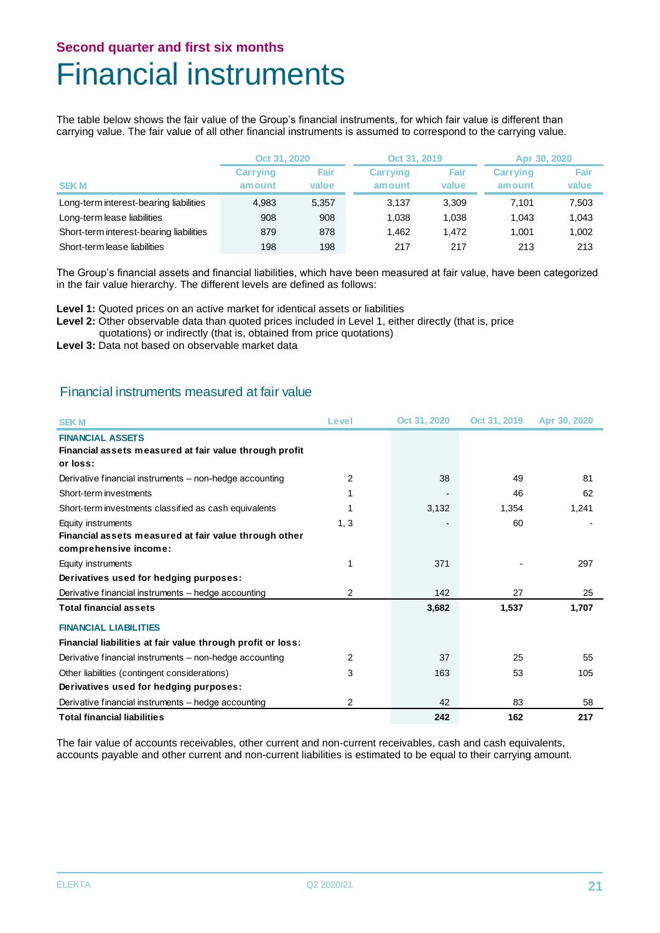# Financial instruments

The table below shows the fair value of the Group's financial instruments, for which fair value is different than carrying value. The fair value of all other financial instruments is assumed to correspond to the carrying value.

|                                         | Oct 31, 2020              |               | Oct 31, 2019              |               | Apr 30, 2020              |               |
|-----------------------------------------|---------------------------|---------------|---------------------------|---------------|---------------------------|---------------|
| <b>SEKM</b>                             | <b>Carrying</b><br>amount | Fair<br>value | <b>Carrying</b><br>amount | Fair<br>value | <b>Carrying</b><br>amount | Fair<br>value |
| Long-term interest-bearing liabilities  | 4.983                     | 5.357         | 3.137                     | 3.309         | 7.101                     | 7,503         |
| Long-term lease liabilities             | 908                       | 908           | 1.038                     | 1.038         | 1.043                     | 1,043         |
| Short-term interest-bearing liabilities | 879                       | 878           | 1.462                     | 1.472         | 1.001                     | 1,002         |
| Short-term lease liabilities            | 198                       | 198           | 217                       | 217           | 213                       | 213           |

The Group's financial assets and financial liabilities, which have been measured at fair value, have been categorized in the fair value hierarchy. The different levels are defined as follows:

Level 1: Quoted prices on an active market for identical assets or liabilities

Level 2: Other observable data than quoted prices included in Level 1, either directly (that is, price

quotations) or indirectly (that is, obtained from price quotations)

**Level 3:** Data not based on observable market data

# Financial instruments measured at fair value

| <b>SEKM</b>                                                 | Level | Oct 31, 2020 | Oct 31, 2019 | Apr 30, 2020 |
|-------------------------------------------------------------|-------|--------------|--------------|--------------|
| <b>FINANCIAL ASSETS</b>                                     |       |              |              |              |
| Financial assets measured at fair value through profit      |       |              |              |              |
| or loss:                                                    |       |              |              |              |
| Derivative financial instruments - non-hedge accounting     | 2     | 38           | 49           | 81           |
| Short-term investments                                      |       |              | 46           | 62           |
| Short-term investments classified as cash equivalents       |       | 3,132        | 1,354        | 1,241        |
| Equity instruments                                          | 1, 3  |              | 60           |              |
| Financial assets measured at fair value through other       |       |              |              |              |
| comprehensive income:                                       |       |              |              |              |
| Equity instruments                                          |       | 371          |              | 297          |
| Derivatives used for hedging purposes:                      |       |              |              |              |
| Derivative financial instruments - hedge accounting         | 2     | 142          | 27           | 25           |
| <b>Total financial assets</b>                               |       | 3,682        | 1,537        | 1,707        |
| <b>FINANCIAL LIABILITIES</b>                                |       |              |              |              |
| Financial liabilities at fair value through profit or loss: |       |              |              |              |
| Derivative financial instruments – non-hedge accounting     | 2     | 37           | 25           | 55           |
| Other liabilities (contingent considerations)               | 3     | 163          | 53           | 105          |
| Derivatives used for hedging purposes:                      |       |              |              |              |
| Derivative financial instruments – hedge accounting         | 2     | 42           | 83           | 58           |
| <b>Total financial liabilities</b>                          |       | 242          | 162          | 217          |

The fair value of accounts receivables, other current and non-current receivables, cash and cash equivalents, accounts payable and other current and non-current liabilities is estimated to be equal to their carrying amount.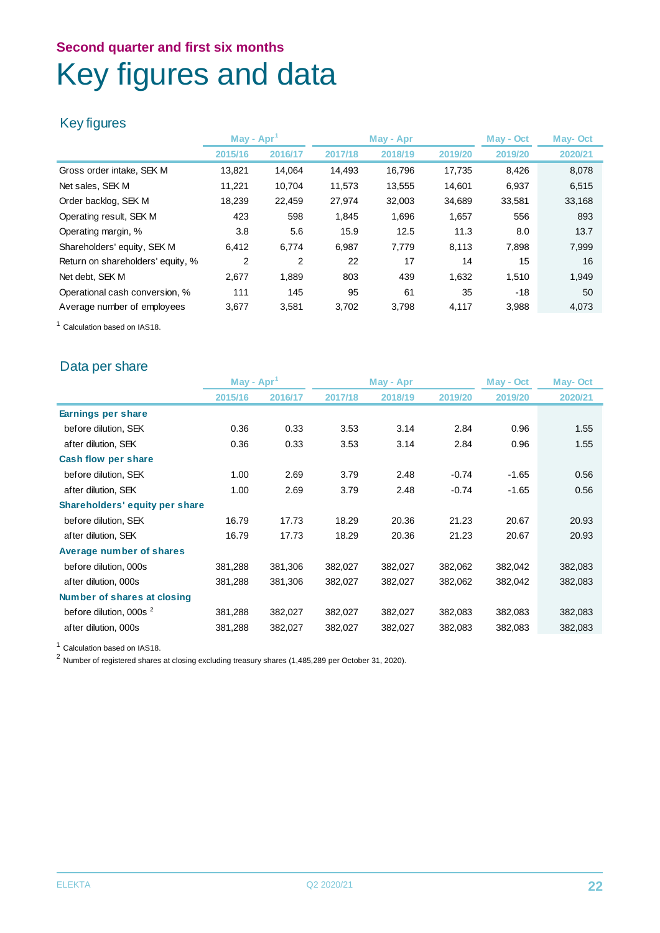# **Second quarter and first six months** Key figures and data

# Key figures

|                                   | May - Apr |         |         | May - Apr | May - Oct |         | <b>May-Oct</b> |
|-----------------------------------|-----------|---------|---------|-----------|-----------|---------|----------------|
|                                   | 2015/16   | 2016/17 | 2017/18 | 2018/19   | 2019/20   | 2019/20 | 2020/21        |
| Gross order intake, SEK M         | 13,821    | 14.064  | 14,493  | 16,796    | 17,735    | 8,426   | 8,078          |
| Net sales, SEK M                  | 11.221    | 10.704  | 11,573  | 13,555    | 14,601    | 6,937   | 6,515          |
| Order backlog, SEK M              | 18,239    | 22,459  | 27,974  | 32,003    | 34,689    | 33,581  | 33,168         |
| Operating result, SEK M           | 423       | 598     | 1,845   | 1,696     | 1,657     | 556     | 893            |
| Operating margin, %               | 3.8       | 5.6     | 15.9    | 12.5      | 11.3      | 8.0     | 13.7           |
| Shareholders' equity, SEK M       | 6,412     | 6,774   | 6,987   | 7.779     | 8,113     | 7,898   | 7,999          |
| Return on shareholders' equity, % | 2         | 2       | 22      | 17        | 14        | 15      | 16             |
| Net debt. SEK M                   | 2.677     | 1.889   | 803     | 439       | 1.632     | 1.510   | 1,949          |
| Operational cash conversion, %    | 111       | 145     | 95      | 61        | 35        | $-18$   | 50             |
| Average number of employees       | 3,677     | 3,581   | 3,702   | 3,798     | 4,117     | 3,988   | 4,073          |

<sup>1</sup> Calculation based on IAS18.

# Data per share

|                                    | May - Apr |         | May - Apr |         | May - Oct |         | <b>May-Oct</b> |
|------------------------------------|-----------|---------|-----------|---------|-----------|---------|----------------|
|                                    | 2015/16   | 2016/17 | 2017/18   | 2018/19 | 2019/20   | 2019/20 | 2020/21        |
| Earnings per share                 |           |         |           |         |           |         |                |
| before dilution, SEK               | 0.36      | 0.33    | 3.53      | 3.14    | 2.84      | 0.96    | 1.55           |
| after dilution, SEK                | 0.36      | 0.33    | 3.53      | 3.14    | 2.84      | 0.96    | 1.55           |
| Cash flow per share                |           |         |           |         |           |         |                |
| before dilution, SEK               | 1.00      | 2.69    | 3.79      | 2.48    | $-0.74$   | $-1.65$ | 0.56           |
| after dilution, SEK                | 1.00      | 2.69    | 3.79      | 2.48    | $-0.74$   | $-1.65$ | 0.56           |
| Shareholders' equity per share     |           |         |           |         |           |         |                |
| before dilution, SEK               | 16.79     | 17.73   | 18.29     | 20.36   | 21.23     | 20.67   | 20.93          |
| after dilution, SEK                | 16.79     | 17.73   | 18.29     | 20.36   | 21.23     | 20.67   | 20.93          |
| Average number of shares           |           |         |           |         |           |         |                |
| before dilution, 000s              | 381,288   | 381,306 | 382,027   | 382,027 | 382,062   | 382,042 | 382,083        |
| after dilution, 000s               | 381,288   | 381,306 | 382,027   | 382,027 | 382,062   | 382,042 | 382,083        |
| Number of shares at closing        |           |         |           |         |           |         |                |
| before dilution, 000s <sup>2</sup> | 381,288   | 382,027 | 382,027   | 382,027 | 382,083   | 382,083 | 382,083        |
| after dilution, 000s               | 381,288   | 382,027 | 382,027   | 382,027 | 382,083   | 382,083 | 382,083        |

<sup>1</sup> Calculation based on IAS18.

<sup>2</sup> Number of registered shares at closing excluding treasury shares (1,485,289 per October 31, 2020).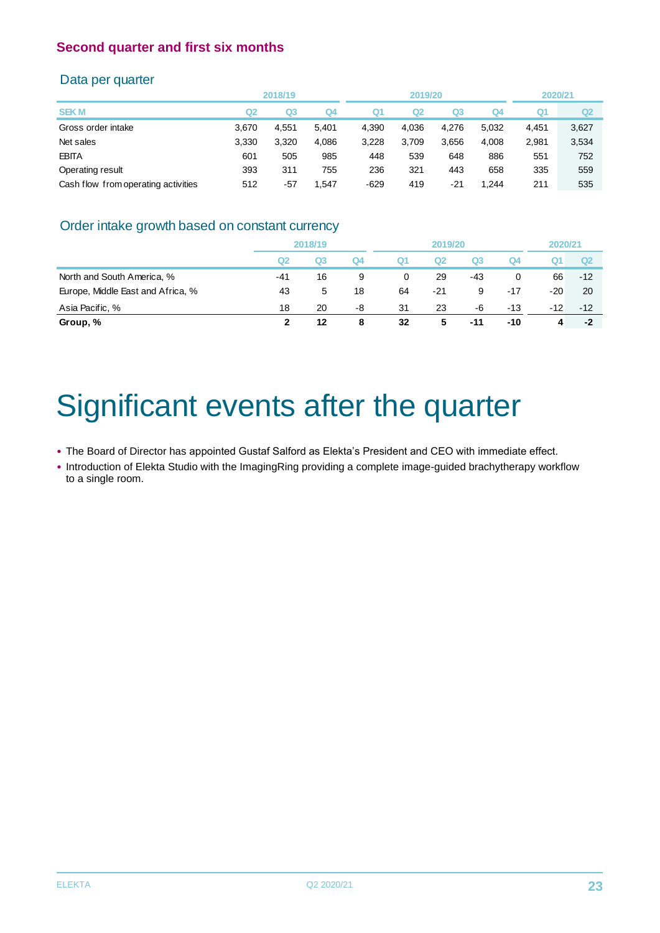### Data per quarter

|                                     |       | 2018/19        |       |        | 2019/20        |       |       | 2020/21 |                |
|-------------------------------------|-------|----------------|-------|--------|----------------|-------|-------|---------|----------------|
| <b>SEKM</b>                         | Q2    | Q <sub>3</sub> | Q4    | Q1     | Q <sub>2</sub> | Q3    | Q4    | Q1      | Q <sub>2</sub> |
| Gross order intake                  | 3.670 | 4.551          | 5,401 | 4,390  | 4.036          | 4.276 | 5,032 | 4,451   | 3,627          |
| Net sales                           | 3,330 | 3,320          | 4,086 | 3,228  | 3,709          | 3,656 | 4,008 | 2,981   | 3,534          |
| <b>EBITA</b>                        | 601   | 505            | 985   | 448    | 539            | 648   | 886   | 551     | 752            |
| Operating result                    | 393   | 311            | 755   | 236    | 321            | 443   | 658   | 335     | 559            |
| Cash flow from operating activities | 512   | $-57$          | 1.547 | $-629$ | 419            | -21   | .244  | 211     | 535            |
|                                     |       |                |       |        |                |       |       |         |                |

# Order intake growth based on constant currency

|                                   | 2018/19 |                | 2019/20 |    |                |                | 2020/21 |       |       |
|-----------------------------------|---------|----------------|---------|----|----------------|----------------|---------|-------|-------|
|                                   | Q2      | Q <sub>3</sub> | Q4      | Q1 | Q <sub>2</sub> | Q <sub>3</sub> | Q4      | Ő.    | Q2    |
| North and South America, %        | $-41$   | 16             | 9       | 0  | 29             | -43            | 0       | 66    | $-12$ |
| Europe, Middle East and Africa, % | 43      | 5              | 18      | 64 | $-21$          | 9              | $-17$   | $-20$ | 20    |
| Asia Pacific, %                   | 18      | 20             | -8      | 31 | 23             | -6             | -13     | $-12$ | $-12$ |
| Group, %                          | 2       | 12             | 8       | 32 | 5              | $-11$          | -10     | 4     | -2    |
|                                   |         |                |         |    |                |                |         |       |       |

# Significant events after the quarter

• The Board of Director has appointed Gustaf Salford as Elekta's President and CEO with immediate effect.

• Introduction of Elekta Studio with the ImagingRing providing a complete image-guided brachytherapy workflow to a single room.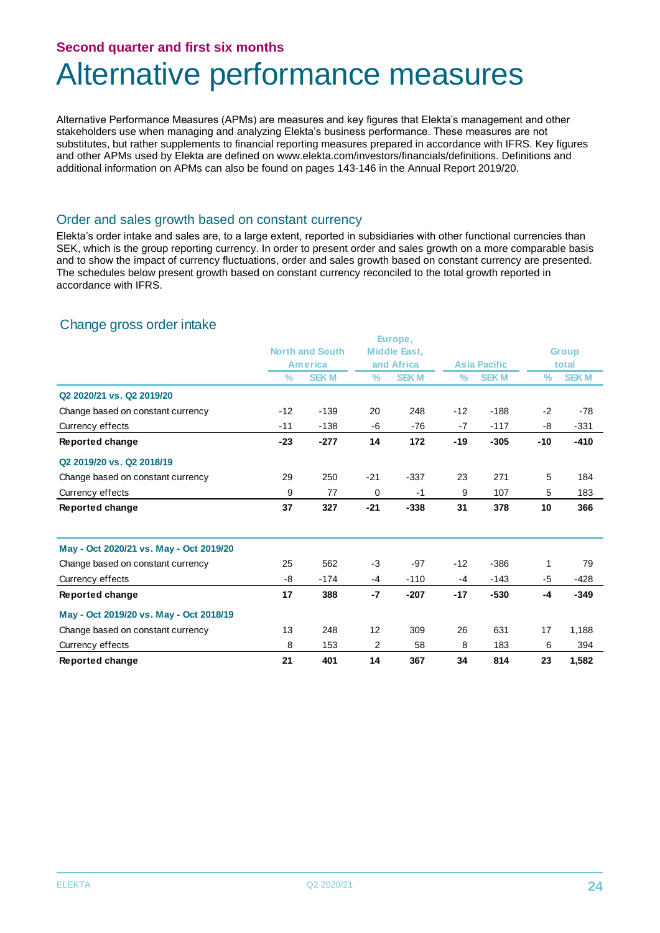# Alternative performance measures

Alternative Performance Measures (APMs) are measures and key figures that Elekta's management and other stakeholders use when managing and analyzing Elekta's business performance. These measures are not substitutes, but rather supplements to financial reporting measures prepared in accordance with IFRS. Key figures and other APMs used by Elekta are defined on www.elekta.com/investors/financials/definitions. Definitions and additional information on APMs can also be found on pages 143-146 in the Annual Report 2019/20.

#### Order and sales growth based on constant currency

Elekta's order intake and sales are, to a large extent, reported in subsidiaries with other functional currencies than SEK, which is the group reporting currency. In order to present order and sales growth on a more comparable basis and to show the impact of currency fluctuations, order and sales growth based on constant currency are presented. The schedules below present growth based on constant currency reconciled to the total growth reported in accordance with IFRS.

### Change gross order intake

|                                         | Europe, |                        |                |                     |                     |             |       |              |
|-----------------------------------------|---------|------------------------|----------------|---------------------|---------------------|-------------|-------|--------------|
|                                         |         | <b>North and South</b> |                | <b>Middle East.</b> |                     |             |       | <b>Group</b> |
|                                         |         | <b>America</b>         |                | and Africa          | <b>Asia Pacific</b> |             |       | total        |
|                                         | %       | <b>SEKM</b>            | $\%$           | <b>SEK M</b>        | $\%$                | <b>SEKM</b> | $\%$  | <b>SEKM</b>  |
| Q2 2020/21 vs. Q2 2019/20               |         |                        |                |                     |                     |             |       |              |
| Change based on constant currency       | $-12$   | $-139$                 | 20             | 248                 | $-12$               | $-188$      | $-2$  | $-78$        |
| Currency effects                        | $-11$   | $-138$                 | -6             | $-76$               | $-7$                | $-117$      | -8    | $-331$       |
| Reported change                         | $-23$   | $-277$                 | 14             | 172                 | $-19$               | $-305$      | $-10$ | $-410$       |
| Q2 2019/20 vs. Q2 2018/19               |         |                        |                |                     |                     |             |       |              |
| Change based on constant currency       | 29      | 250                    | $-21$          | $-337$              | 23                  | 271         | 5     | 184          |
| Currency effects                        | 9       | 77                     | $\mathbf 0$    | $-1$                | 9                   | 107         | 5     | 183          |
| Reported change                         | 37      | 327                    | $-21$          | $-338$              | 31                  | 378         | 10    | 366          |
| May - Oct 2020/21 vs. May - Oct 2019/20 |         |                        |                |                     |                     |             |       |              |
| Change based on constant currency       | 25      | 562                    | $-3$           | $-97$               | $-12$               | $-386$      | 1     | 79           |
| Currency effects                        | -8      | $-174$                 | $-4$           | $-110$              | $-4$                | $-143$      | -5    | $-428$       |
| Reported change                         | 17      | 388                    | $-7$           | $-207$              | $-17$               | $-530$      | $-4$  | $-349$       |
| May - Oct 2019/20 vs. May - Oct 2018/19 |         |                        |                |                     |                     |             |       |              |
| Change based on constant currency       | 13      | 248                    | 12             | 309                 | 26                  | 631         | 17    | 1,188        |
| Currency effects                        | 8       | 153                    | $\overline{2}$ | 58                  | 8                   | 183         | 6     | 394          |
| Reported change                         | 21      | 401                    | 14             | 367                 | 34                  | 814         | 23    | 1,582        |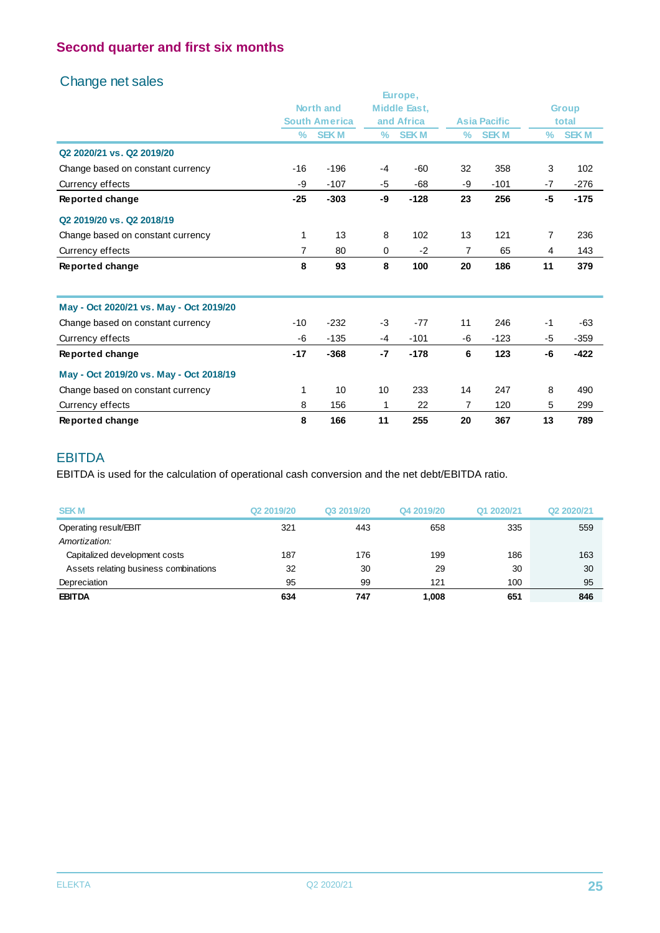# Change net sales

|                                         |       |                      |      | Europe,             |      |                     |      |              |
|-----------------------------------------|-------|----------------------|------|---------------------|------|---------------------|------|--------------|
|                                         |       | <b>North and</b>     |      | <b>Middle East.</b> |      |                     |      | <b>Group</b> |
|                                         |       | <b>South America</b> |      | and Africa          |      | <b>Asia Pacific</b> |      | total        |
|                                         | $\%$  | <b>SEKM</b>          | ℅    | <b>SEKM</b>         | $\%$ | <b>SEKM</b>         | ℅    | <b>SEKM</b>  |
| Q2 2020/21 vs. Q2 2019/20               |       |                      |      |                     |      |                     |      |              |
| Change based on constant currency       | $-16$ | $-196$               | $-4$ | $-60$               | 32   | 358                 | 3    | 102          |
| Currency effects                        | -9    | $-107$               | -5   | $-68$               | -9   | $-101$              | $-7$ | $-276$       |
| Reported change                         | $-25$ | $-303$               | -9   | $-128$              | 23   | 256                 | -5   | $-175$       |
| Q2 2019/20 vs. Q2 2018/19               |       |                      |      |                     |      |                     |      |              |
| Change based on constant currency       | 1     | 13                   | 8    | 102                 | 13   | 121                 | 7    | 236          |
| Currency effects                        | 7     | 80                   | 0    | $-2$                | 7    | 65                  | 4    | 143          |
| Reported change                         | 8     | 93                   | 8    | 100                 | 20   | 186                 | 11   | 379          |
| May - Oct 2020/21 vs. May - Oct 2019/20 |       |                      |      |                     |      |                     |      |              |
| Change based on constant currency       | $-10$ | $-232$               | -3   | $-77$               | 11   | 246                 | $-1$ | $-63$        |
| Currency effects                        | -6    | $-135$               | -4   | $-101$              | -6   | $-123$              | -5   | $-359$       |
| Reported change                         | $-17$ | $-368$               | $-7$ | $-178$              | 6    | 123                 | -6   | $-422$       |
| May - Oct 2019/20 vs. May - Oct 2018/19 |       |                      |      |                     |      |                     |      |              |
| Change based on constant currency       | 1     | 10                   | 10   | 233                 | 14   | 247                 | 8    | 490          |
| Currency effects                        | 8     | 156                  | 1    | 22                  | 7    | 120                 | 5    | 299          |
| Reported change                         | 8     | 166                  | 11   | 255                 | 20   | 367                 | 13   | 789          |

### EBITDA

EBITDA is used for the calculation of operational cash conversion and the net debt/EBITDA ratio.

| <b>SEKM</b>                           | Q <sub>2</sub> 2019/20 | Q3 2019/20 | Q4 2019/20 | Q1 2020/21 | Q2 2020/21 |
|---------------------------------------|------------------------|------------|------------|------------|------------|
| Operating result/EBIT                 | 321                    | 443        | 658        | 335        | 559        |
| Amortization:                         |                        |            |            |            |            |
| Capitalized development costs         | 187                    | 176        | 199        | 186        | 163        |
| Assets relating business combinations | 32                     | 30         | 29         | 30         | 30         |
| Depreciation                          | 95                     | 99         | 121        | 100        | 95         |
| <b>EBITDA</b>                         | 634                    | 747        | 1,008      | 651        | 846        |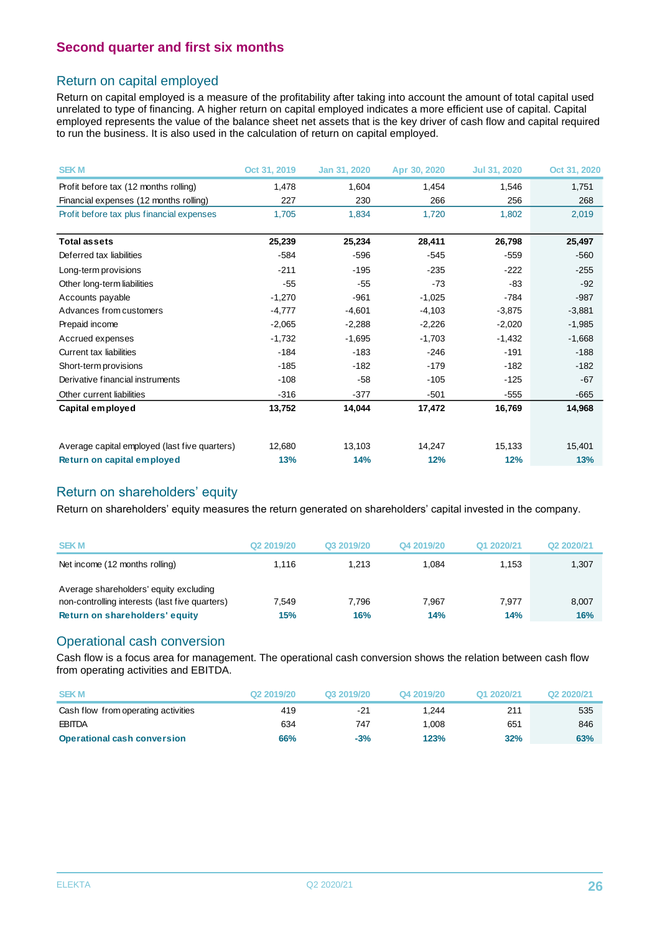### Return on capital employed

Return on capital employed is a measure of the profitability after taking into account the amount of total capital used unrelated to type of financing. A higher return on capital employed indicates a more efficient use of capital. Capital employed represents the value of the balance sheet net assets that is the key driver of cash flow and capital required to run the business. It is also used in the calculation of return on capital employed.

| <b>SEKM</b>                                   | Oct 31, 2019 | Jan 31, 2020 | Apr 30, 2020 | Jul 31, 2020 | Oct 31, 2020 |
|-----------------------------------------------|--------------|--------------|--------------|--------------|--------------|
| Profit before tax (12 months rolling)         | 1,478        | 1,604        | 1,454        | 1,546        | 1,751        |
| Financial expenses (12 months rolling)        | 227          | 230          | 266          | 256          | 268          |
| Profit before tax plus financial expenses     | 1.705        | 1,834        | 1.720        | 1,802        | 2,019        |
| <b>Total assets</b>                           | 25,239       | 25,234       | 28,411       | 26,798       | 25,497       |
| Deferred tax liabilities                      | $-584$       | $-596$       | $-545$       | $-559$       | $-560$       |
| Long-term provisions                          | $-211$       | $-195$       | $-235$       | $-222$       | $-255$       |
| Other long-term liabilities                   | $-55$        | $-55$        | $-73$        | -83          | $-92$        |
| Accounts payable                              | $-1,270$     | $-961$       | $-1,025$     | $-784$       | $-987$       |
| Advances from customers                       | $-4,777$     | $-4,601$     | $-4,103$     | $-3,875$     | $-3,881$     |
| Prepaid income                                | $-2,065$     | $-2,288$     | $-2,226$     | $-2,020$     | $-1,985$     |
| Accrued expenses                              | $-1,732$     | $-1,695$     | $-1,703$     | $-1,432$     | $-1,668$     |
| Current tax liabilities                       | $-184$       | $-183$       | $-246$       | $-191$       | $-188$       |
| Short-term provisions                         | $-185$       | $-182$       | $-179$       | $-182$       | $-182$       |
| Derivative financial instruments              | $-108$       | $-58$        | $-105$       | $-125$       | $-67$        |
| Other current liabilities                     | $-316$       | $-377$       | $-501$       | $-555$       | $-665$       |
| Capital employed                              | 13,752       | 14,044       | 17,472       | 16,769       | 14,968       |
| Average capital employed (last five quarters) | 12,680       | 13,103       | 14,247       | 15,133       | 15,401       |
| Return on capital employed                    | 13%          | 14%          | 12%          | 12%          | 13%          |

### Return on shareholders' equity

Return on shareholders' equity measures the return generated on shareholders' capital invested in the company.

| <b>SEKM</b>                                                                                                                | Q <sub>2</sub> 2019/20 | Q3 2019/20   | Q4 2019/20   | Q1 2020/21   | Q2 2020/21   |
|----------------------------------------------------------------------------------------------------------------------------|------------------------|--------------|--------------|--------------|--------------|
| Net income (12 months rolling)                                                                                             | 1.116                  | 1.213        | 1.084        | 1.153        | 1,307        |
| Average shareholders' equity excluding<br>non-controlling interests (last five quarters)<br>Return on shareholders' equity | 7.549<br>15%           | 7.796<br>16% | 7.967<br>14% | 7.977<br>14% | 8,007<br>16% |

### Operational cash conversion

Cash flow is a focus area for management. The operational cash conversion shows the relation between cash flow from operating activities and EBITDA.

| from operating activities and EBITDA. |            |            |            |            |            |
|---------------------------------------|------------|------------|------------|------------|------------|
| <b>SEKM</b>                           | Q2 2019/20 | Q3 2019/20 | Q4 2019/20 | Q1 2020/21 | Q2 2020/21 |
| Cash flow from operating activities   | 419        | $-21$      | 1.244      | 211        | 535        |
| <b>EBITDA</b>                         | 634        | 747        | 1.008      | 651        | 846        |
| <b>Operational cash conversion</b>    | 66%        | $-3%$      | 123%       | 32%        | 63%        |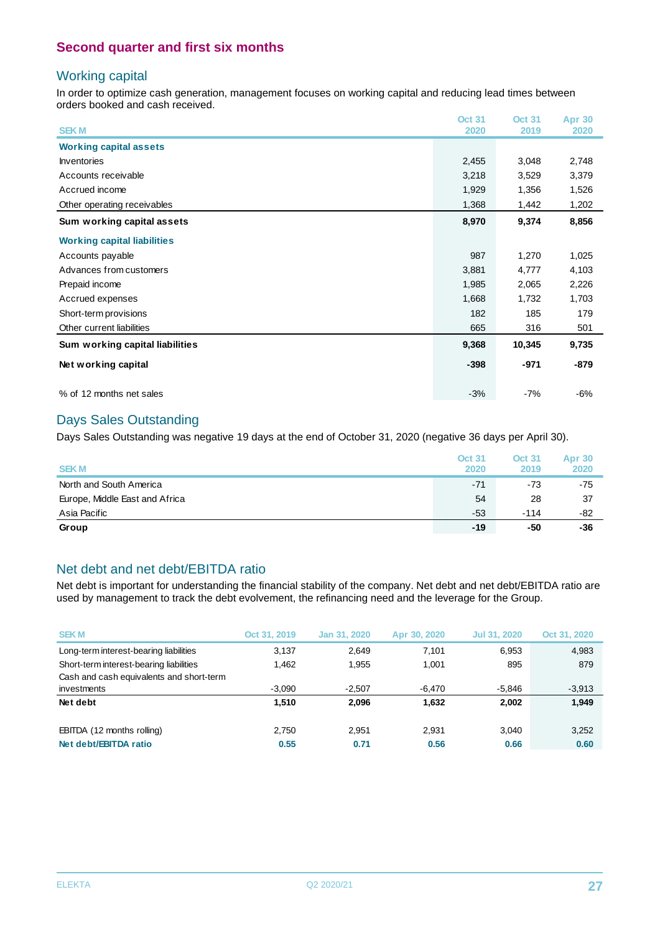### Working capital

In order to optimize cash generation, management focuses on working capital and reducing lead times between orders booked and cash received.

|                                    | <b>Oct 31</b> | <b>Oct 31</b> | <b>Apr 30</b> |
|------------------------------------|---------------|---------------|---------------|
| <b>SEK M</b>                       | 2020          | 2019          | 2020          |
| <b>Working capital assets</b>      |               |               |               |
| <b>Inventories</b>                 | 2,455         | 3,048         | 2,748         |
| Accounts receivable                | 3,218         | 3,529         | 3,379         |
| Accrued income                     | 1,929         | 1,356         | 1,526         |
| Other operating receivables        | 1,368         | 1,442         | 1,202         |
| Sum working capital assets         | 8,970         | 9,374         | 8,856         |
| <b>Working capital liabilities</b> |               |               |               |
| Accounts payable                   | 987           | 1,270         | 1,025         |
| Advances from customers            | 3,881         | 4,777         | 4,103         |
| Prepaid income                     | 1,985         | 2,065         | 2,226         |
| Accrued expenses                   | 1,668         | 1,732         | 1,703         |
| Short-term provisions              | 182           | 185           | 179           |
| Other current liabilities          | 665           | 316           | 501           |
| Sum working capital liabilities    | 9,368         | 10,345        | 9,735         |
| Net working capital                | $-398$        | $-971$        | -879          |
| % of 12 months net sales           | $-3%$         | $-7%$         | $-6%$         |

### Days Sales Outstanding

Days Sales Outstanding was negative 19 days at the end of October 31, 2020 (negative 36 days per April 30).

| <b>SEKM</b>                    | <b>Oct 31</b><br>2020 | <b>Oct 31</b><br>2019 | <b>Apr 30</b><br>2020 |
|--------------------------------|-----------------------|-----------------------|-----------------------|
| North and South America        | $-71$                 | $-73$                 | $-75$                 |
| Europe, Middle East and Africa | 54                    | 28                    | 37                    |
| Asia Pacific                   | $-53$                 | $-114$                | -82                   |
| Group                          | $-19$                 | -50                   | -36                   |

# Net debt and net debt/EBITDA ratio

Net debt is important for understanding the financial stability of the company. Net debt and net debt/EBITDA ratio are used by management to track the debt evolvement, the refinancing need and the leverage for the Group.

| <b>SEKM</b>                              | Oct 31, 2019 | Jan 31, 2020 | Apr 30, 2020 | Jul 31, 2020 | Oct 31, 2020 |
|------------------------------------------|--------------|--------------|--------------|--------------|--------------|
| Long-term interest-bearing liabilities   | 3,137        | 2.649        | 7.101        | 6.953        | 4,983        |
| Short-term interest-bearing liabilities  | 1.462        | 1.955        | 1.001        | 895          | 879          |
| Cash and cash equivalents and short-term |              |              |              |              |              |
| investments                              | $-3.090$     | $-2,507$     | -6,470       | $-5,846$     | $-3,913$     |
| Net debt                                 | 1.510        | 2.096        | 1.632        | 2.002        | 1.949        |
| EBITDA (12 months rolling)               | 2.750        | 2.951        | 2.931        | 3.040        | 3,252        |
| Net debt/EBITDA ratio                    | 0.55         | 0.71         | 0.56         | 0.66         | 0.60         |